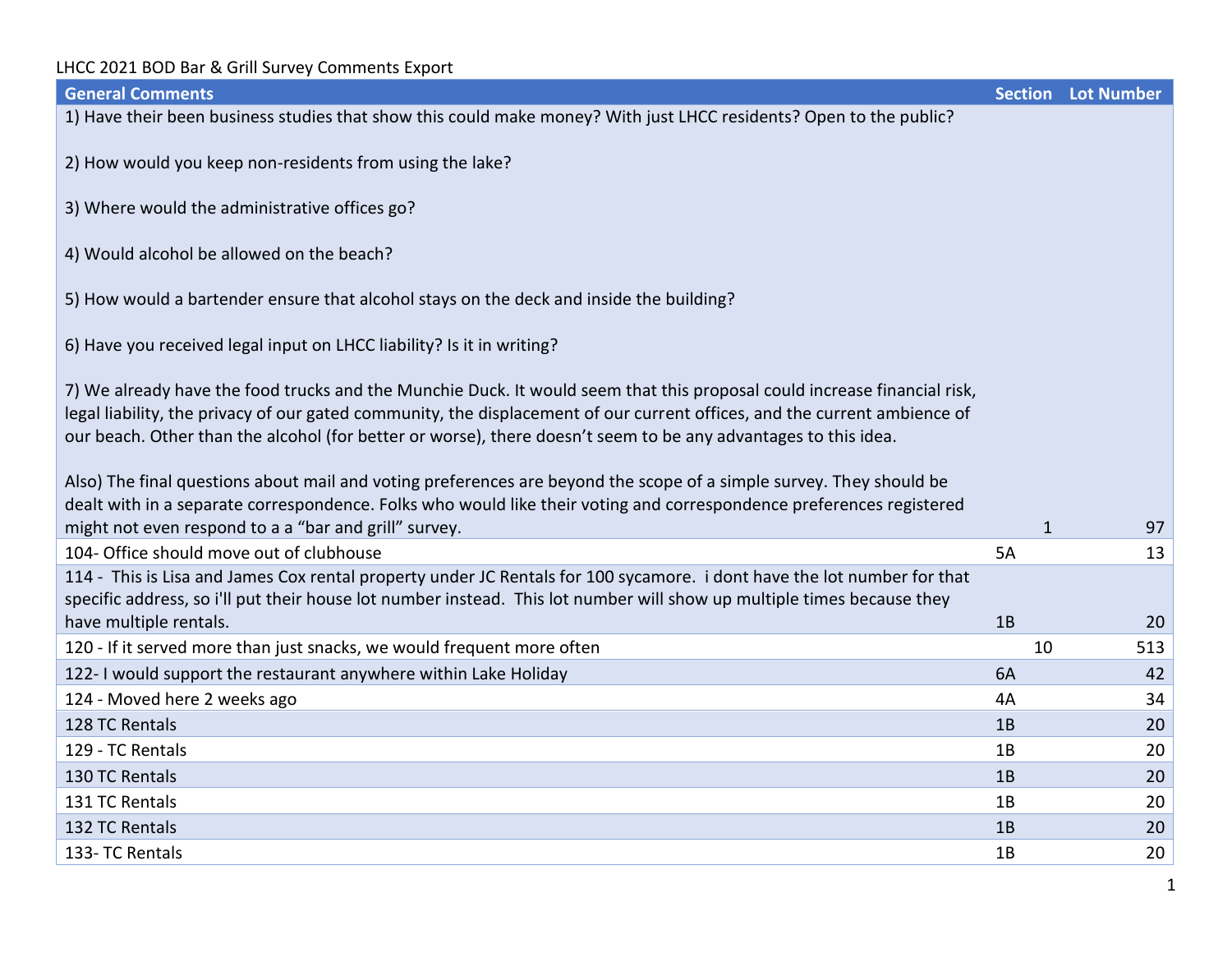| <b>General Comments</b>                                                                                                                                                                                                                                                                                                                                                 |              | <b>Section Lot Number</b> |
|-------------------------------------------------------------------------------------------------------------------------------------------------------------------------------------------------------------------------------------------------------------------------------------------------------------------------------------------------------------------------|--------------|---------------------------|
| 1) Have their been business studies that show this could make money? With just LHCC residents? Open to the public?                                                                                                                                                                                                                                                      |              |                           |
| 2) How would you keep non-residents from using the lake?                                                                                                                                                                                                                                                                                                                |              |                           |
| 3) Where would the administrative offices go?                                                                                                                                                                                                                                                                                                                           |              |                           |
| 4) Would alcohol be allowed on the beach?                                                                                                                                                                                                                                                                                                                               |              |                           |
| 5) How would a bartender ensure that alcohol stays on the deck and inside the building?                                                                                                                                                                                                                                                                                 |              |                           |
| 6) Have you received legal input on LHCC liability? Is it in writing?                                                                                                                                                                                                                                                                                                   |              |                           |
| 7) We already have the food trucks and the Munchie Duck. It would seem that this proposal could increase financial risk,<br>legal liability, the privacy of our gated community, the displacement of our current offices, and the current ambience of<br>our beach. Other than the alcohol (for better or worse), there doesn't seem to be any advantages to this idea. |              |                           |
| Also) The final questions about mail and voting preferences are beyond the scope of a simple survey. They should be<br>dealt with in a separate correspondence. Folks who would like their voting and correspondence preferences registered<br>might not even respond to a a "bar and grill" survey.                                                                    | $\mathbf{1}$ | 97                        |
| 104- Office should move out of clubhouse                                                                                                                                                                                                                                                                                                                                | 5A           | 13                        |
| 114 - This is Lisa and James Cox rental property under JC Rentals for 100 sycamore. i dont have the lot number for that<br>specific address, so i'll put their house lot number instead. This lot number will show up multiple times because they                                                                                                                       |              |                           |
| have multiple rentals.                                                                                                                                                                                                                                                                                                                                                  | 1B           | 20                        |
| 120 - If it served more than just snacks, we would frequent more often                                                                                                                                                                                                                                                                                                  | 10           | 513                       |
| 122- I would support the restaurant anywhere within Lake Holiday                                                                                                                                                                                                                                                                                                        | 6A           | 42                        |
| 124 - Moved here 2 weeks ago                                                                                                                                                                                                                                                                                                                                            | 4A           | 34                        |
| 128 TC Rentals                                                                                                                                                                                                                                                                                                                                                          | 1B           | 20                        |
| 129 - TC Rentals                                                                                                                                                                                                                                                                                                                                                        | 1B           | 20                        |
| 130 TC Rentals                                                                                                                                                                                                                                                                                                                                                          | 1B           | 20                        |
| 131 TC Rentals                                                                                                                                                                                                                                                                                                                                                          | 1B           | 20                        |
| 132 TC Rentals                                                                                                                                                                                                                                                                                                                                                          | 1B           | 20                        |
| 133- TC Rentals                                                                                                                                                                                                                                                                                                                                                         | 1B           | 20                        |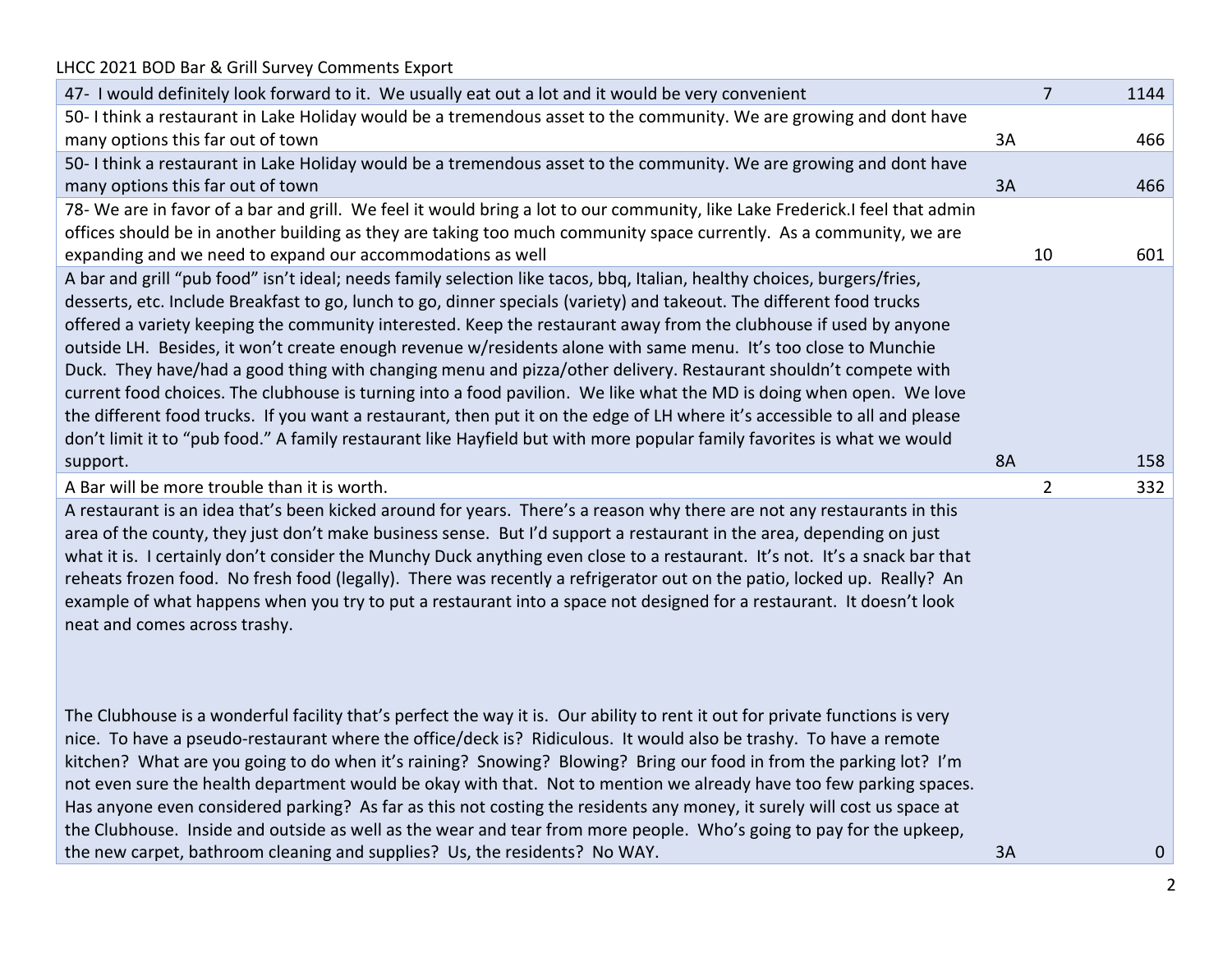| LHCC 2021 BOD Bar & Grill Survey Comments Export                                                                             |           |                |      |
|------------------------------------------------------------------------------------------------------------------------------|-----------|----------------|------|
| 47- I would definitely look forward to it. We usually eat out a lot and it would be very convenient                          |           | 7              | 1144 |
| 50- I think a restaurant in Lake Holiday would be a tremendous asset to the community. We are growing and dont have          |           |                |      |
| many options this far out of town                                                                                            | 3A        |                | 466  |
| 50- I think a restaurant in Lake Holiday would be a tremendous asset to the community. We are growing and dont have          |           |                |      |
| many options this far out of town                                                                                            | 3A        |                | 466  |
| 78- We are in favor of a bar and grill. We feel it would bring a lot to our community, like Lake Frederick.I feel that admin |           |                |      |
| offices should be in another building as they are taking too much community space currently. As a community, we are          |           |                |      |
| expanding and we need to expand our accommodations as well                                                                   |           | 10             | 601  |
| A bar and grill "pub food" isn't ideal; needs family selection like tacos, bbq, Italian, healthy choices, burgers/fries,     |           |                |      |
| desserts, etc. Include Breakfast to go, lunch to go, dinner specials (variety) and takeout. The different food trucks        |           |                |      |
| offered a variety keeping the community interested. Keep the restaurant away from the clubhouse if used by anyone            |           |                |      |
| outside LH. Besides, it won't create enough revenue w/residents alone with same menu. It's too close to Munchie              |           |                |      |
| Duck. They have/had a good thing with changing menu and pizza/other delivery. Restaurant shouldn't compete with              |           |                |      |
| current food choices. The clubhouse is turning into a food pavilion. We like what the MD is doing when open. We love         |           |                |      |
| the different food trucks. If you want a restaurant, then put it on the edge of LH where it's accessible to all and please   |           |                |      |
| don't limit it to "pub food." A family restaurant like Hayfield but with more popular family favorites is what we would      |           |                |      |
| support.                                                                                                                     | <b>8A</b> |                | 158  |
| A Bar will be more trouble than it is worth.                                                                                 |           | $\overline{2}$ | 332  |
| A restaurant is an idea that's been kicked around for years. There's a reason why there are not any restaurants in this      |           |                |      |
| area of the county, they just don't make business sense. But I'd support a restaurant in the area, depending on just         |           |                |      |
| what it is. I certainly don't consider the Munchy Duck anything even close to a restaurant. It's not. It's a snack bar that  |           |                |      |
| reheats frozen food. No fresh food (legally). There was recently a refrigerator out on the patio, locked up. Really? An      |           |                |      |
| example of what happens when you try to put a restaurant into a space not designed for a restaurant. It doesn't look         |           |                |      |
| neat and comes across trashy.                                                                                                |           |                |      |
|                                                                                                                              |           |                |      |
|                                                                                                                              |           |                |      |
| The Clubhouse is a wonderful facility that's perfect the way it is. Our ability to rent it out for private functions is very |           |                |      |
| nice. To have a pseudo-restaurant where the office/deck is? Ridiculous. It would also be trashy. To have a remote            |           |                |      |
| kitchen? What are you going to do when it's raining? Snowing? Blowing? Bring our food in from the parking lot? I'm           |           |                |      |
| not even sure the health department would be okay with that. Not to mention we already have too few parking spaces.          |           |                |      |
| Has anyone even considered parking? As far as this not costing the residents any money, it surely will cost us space at      |           |                |      |
| the Clubhouse. Inside and outside as well as the wear and tear from more people. Who's going to pay for the upkeep,          |           |                |      |
| the new carpet, bathroom cleaning and supplies? Us, the residents? No WAY.                                                   | 3A        |                | 0    |
|                                                                                                                              |           |                |      |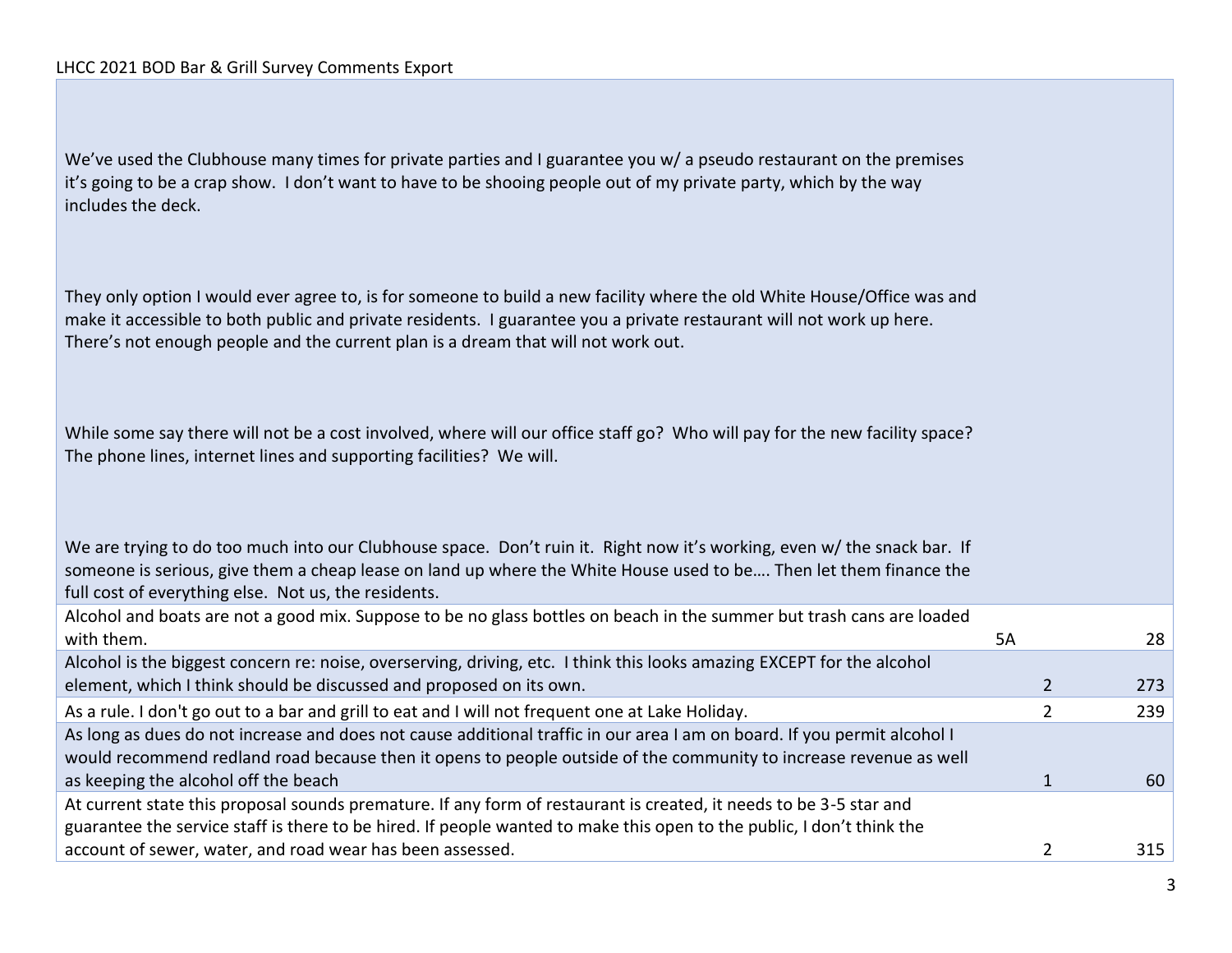We've used the Clubhouse many times for private parties and I guarantee you w/ a pseudo restaurant on the premises it's going to be a crap show. I don't want to have to be shooing people out of my private party, which by the way includes the deck.

They only option I would ever agree to, is for someone to build a new facility where the old White House/Office was and make it accessible to both public and private residents. I guarantee you a private restaurant will not work up here. There's not enough people and the current plan is a dream that will not work out.

While some say there will not be a cost involved, where will our office staff go? Who will pay for the new facility space? The phone lines, internet lines and supporting facilities? We will.

We are trying to do too much into our Clubhouse space. Don't ruin it. Right now it's working, even w/ the snack bar. If someone is serious, give them a cheap lease on land up where the White House used to be…. Then let them finance the full cost of everything else. Not us, the residents.

| Alcohol and boats are not a good mix. Suppose to be no glass bottles on beach in the summer but trash cans are loaded    |    |     |
|--------------------------------------------------------------------------------------------------------------------------|----|-----|
| with them.                                                                                                               | 5А | 28  |
| Alcohol is the biggest concern re: noise, overserving, driving, etc. I think this looks amazing EXCEPT for the alcohol   |    |     |
| element, which I think should be discussed and proposed on its own.                                                      |    | 273 |
| As a rule. I don't go out to a bar and grill to eat and I will not frequent one at Lake Holiday.                         |    | 239 |
| As long as dues do not increase and does not cause additional traffic in our area I am on board. If you permit alcohol I |    |     |
| would recommend redland road because then it opens to people outside of the community to increase revenue as well        |    |     |
| as keeping the alcohol off the beach                                                                                     |    | 60  |
| At current state this proposal sounds premature. If any form of restaurant is created, it needs to be 3-5 star and       |    |     |
| guarantee the service staff is there to be hired. If people wanted to make this open to the public, I don't think the    |    |     |
| account of sewer, water, and road wear has been assessed.                                                                |    | 315 |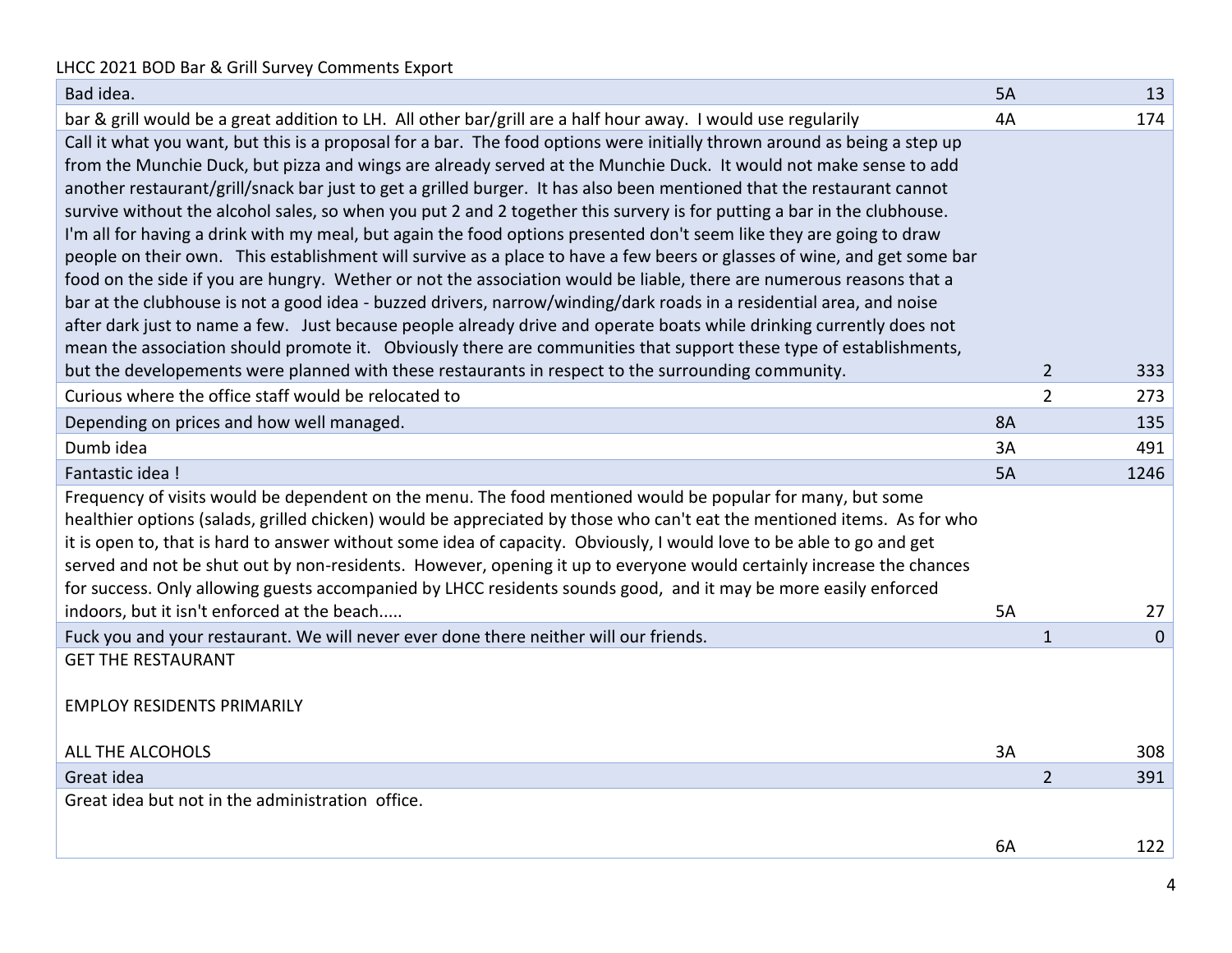| Bad idea.                                                                                                                                                                                                                                     | <b>5A</b> |                | 13          |
|-----------------------------------------------------------------------------------------------------------------------------------------------------------------------------------------------------------------------------------------------|-----------|----------------|-------------|
| bar & grill would be a great addition to LH. All other bar/grill are a half hour away. I would use regularily                                                                                                                                 | 4A        |                | 174         |
| Call it what you want, but this is a proposal for a bar. The food options were initially thrown around as being a step up                                                                                                                     |           |                |             |
| from the Munchie Duck, but pizza and wings are already served at the Munchie Duck. It would not make sense to add                                                                                                                             |           |                |             |
| another restaurant/grill/snack bar just to get a grilled burger. It has also been mentioned that the restaurant cannot                                                                                                                        |           |                |             |
| survive without the alcohol sales, so when you put 2 and 2 together this survery is for putting a bar in the clubhouse.                                                                                                                       |           |                |             |
| I'm all for having a drink with my meal, but again the food options presented don't seem like they are going to draw                                                                                                                          |           |                |             |
| people on their own. This establishment will survive as a place to have a few beers or glasses of wine, and get some bar                                                                                                                      |           |                |             |
| food on the side if you are hungry. Wether or not the association would be liable, there are numerous reasons that a                                                                                                                          |           |                |             |
| bar at the clubhouse is not a good idea - buzzed drivers, narrow/winding/dark roads in a residential area, and noise<br>after dark just to name a few. Just because people already drive and operate boats while drinking currently does not  |           |                |             |
| mean the association should promote it. Obviously there are communities that support these type of establishments,                                                                                                                            |           |                |             |
| but the developements were planned with these restaurants in respect to the surrounding community.                                                                                                                                            |           | $\overline{2}$ | 333         |
| Curious where the office staff would be relocated to                                                                                                                                                                                          |           | $\overline{2}$ | 273         |
|                                                                                                                                                                                                                                               | <b>8A</b> |                | 135         |
| Depending on prices and how well managed.                                                                                                                                                                                                     |           |                |             |
| Dumb idea                                                                                                                                                                                                                                     | 3A        |                | 491         |
| Fantastic idea !                                                                                                                                                                                                                              | 5A        |                | 1246        |
| Frequency of visits would be dependent on the menu. The food mentioned would be popular for many, but some                                                                                                                                    |           |                |             |
| healthier options (salads, grilled chicken) would be appreciated by those who can't eat the mentioned items. As for who                                                                                                                       |           |                |             |
| it is open to, that is hard to answer without some idea of capacity. Obviously, I would love to be able to go and get<br>served and not be shut out by non-residents. However, opening it up to everyone would certainly increase the chances |           |                |             |
| for success. Only allowing guests accompanied by LHCC residents sounds good, and it may be more easily enforced                                                                                                                               |           |                |             |
| indoors, but it isn't enforced at the beach                                                                                                                                                                                                   | 5A        |                | 27          |
| Fuck you and your restaurant. We will never ever done there neither will our friends.                                                                                                                                                         |           | $\mathbf{1}$   | $\mathbf 0$ |
| <b>GET THE RESTAURANT</b>                                                                                                                                                                                                                     |           |                |             |
|                                                                                                                                                                                                                                               |           |                |             |
| <b>EMPLOY RESIDENTS PRIMARILY</b>                                                                                                                                                                                                             |           |                |             |
|                                                                                                                                                                                                                                               |           |                |             |
| ALL THE ALCOHOLS                                                                                                                                                                                                                              | 3A        |                | 308         |
| Great idea                                                                                                                                                                                                                                    |           | $\overline{2}$ | 391         |
| Great idea but not in the administration office.                                                                                                                                                                                              |           |                |             |
|                                                                                                                                                                                                                                               |           |                |             |
|                                                                                                                                                                                                                                               | 6A        |                | 122         |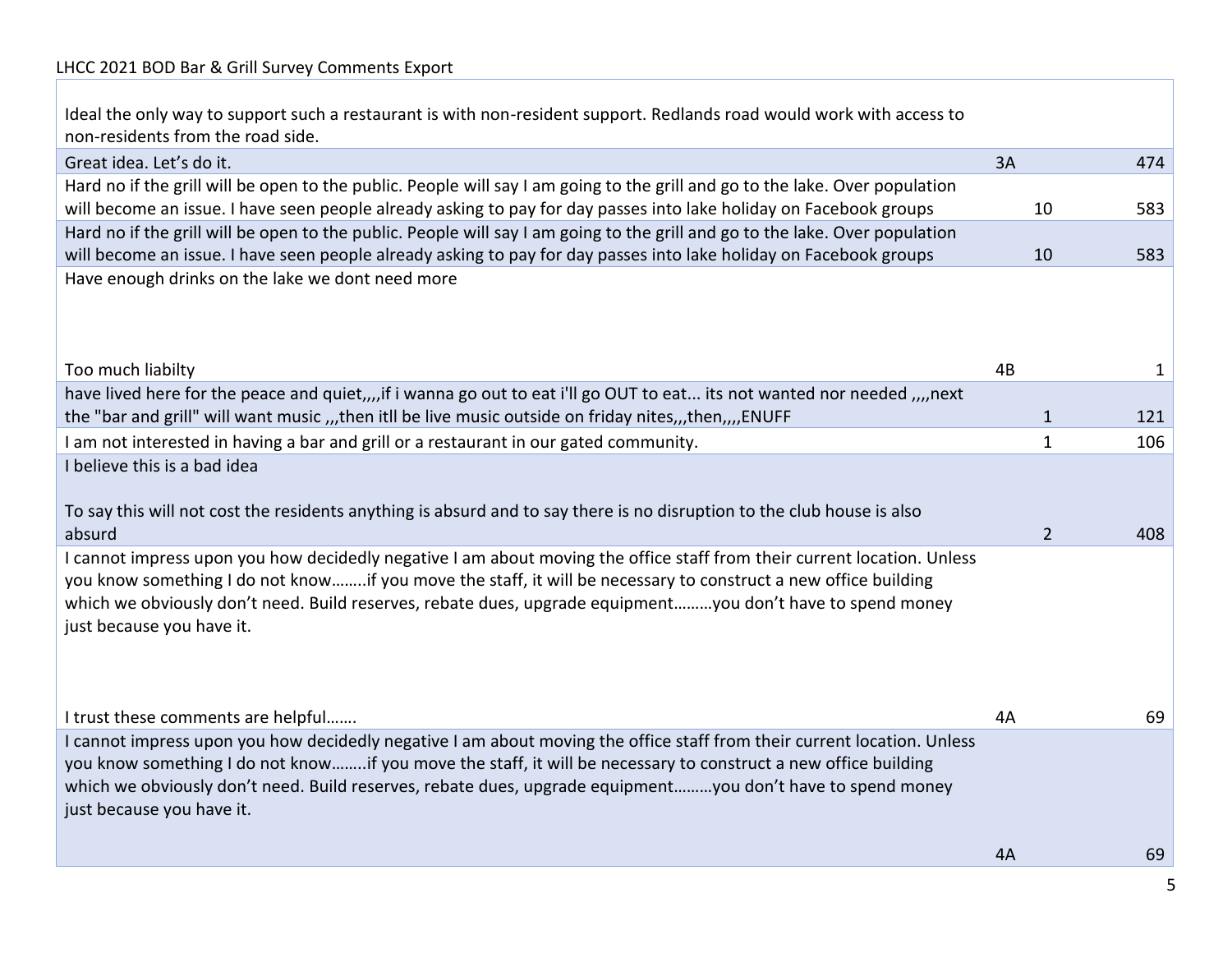Ideal the only way to support such a restaurant is with non-resident support. Redlands road would work with access to non-residents from the road side.

| Great idea. Let's do it.                                                                                                     | 3A | 474                   |
|------------------------------------------------------------------------------------------------------------------------------|----|-----------------------|
| Hard no if the grill will be open to the public. People will say I am going to the grill and go to the lake. Over population |    |                       |
| will become an issue. I have seen people already asking to pay for day passes into lake holiday on Facebook groups           |    | 10<br>583             |
| Hard no if the grill will be open to the public. People will say I am going to the grill and go to the lake. Over population |    |                       |
| will become an issue. I have seen people already asking to pay for day passes into lake holiday on Facebook groups           |    | 10<br>583             |
| Have enough drinks on the lake we dont need more                                                                             |    |                       |
|                                                                                                                              |    |                       |
|                                                                                                                              |    |                       |
| Too much liabilty                                                                                                            | 4B | 1                     |
| have lived here for the peace and quiet,  if i wanna go out to eat i'll go OUT to eat its not wanted nor needed  next        |    |                       |
| the "bar and grill" will want music ,,,then itll be live music outside on friday nites,,,then,,,,ENUFF                       |    | 121<br>$\mathbf{1}$   |
| I am not interested in having a bar and grill or a restaurant in our gated community.                                        |    | 106<br>1              |
| I believe this is a bad idea                                                                                                 |    |                       |
|                                                                                                                              |    |                       |
| To say this will not cost the residents anything is absurd and to say there is no disruption to the club house is also       |    |                       |
| absurd                                                                                                                       |    | $\overline{2}$<br>408 |
| I cannot impress upon you how decidedly negative I am about moving the office staff from their current location. Unless      |    |                       |
| you know something I do not knowif you move the staff, it will be necessary to construct a new office building               |    |                       |
| which we obviously don't need. Build reserves, rebate dues, upgrade equipmentyou don't have to spend money                   |    |                       |
| just because you have it.                                                                                                    |    |                       |
|                                                                                                                              |    |                       |
|                                                                                                                              |    |                       |
| I trust these comments are helpful                                                                                           | 4A | 69                    |
| I cannot impress upon you how decidedly negative I am about moving the office staff from their current location. Unless      |    |                       |
| you know something I do not knowif you move the staff, it will be necessary to construct a new office building               |    |                       |
| which we obviously don't need. Build reserves, rebate dues, upgrade equipmentyou don't have to spend money                   |    |                       |
| just because you have it.                                                                                                    |    |                       |
|                                                                                                                              |    |                       |
|                                                                                                                              | 4A | 69                    |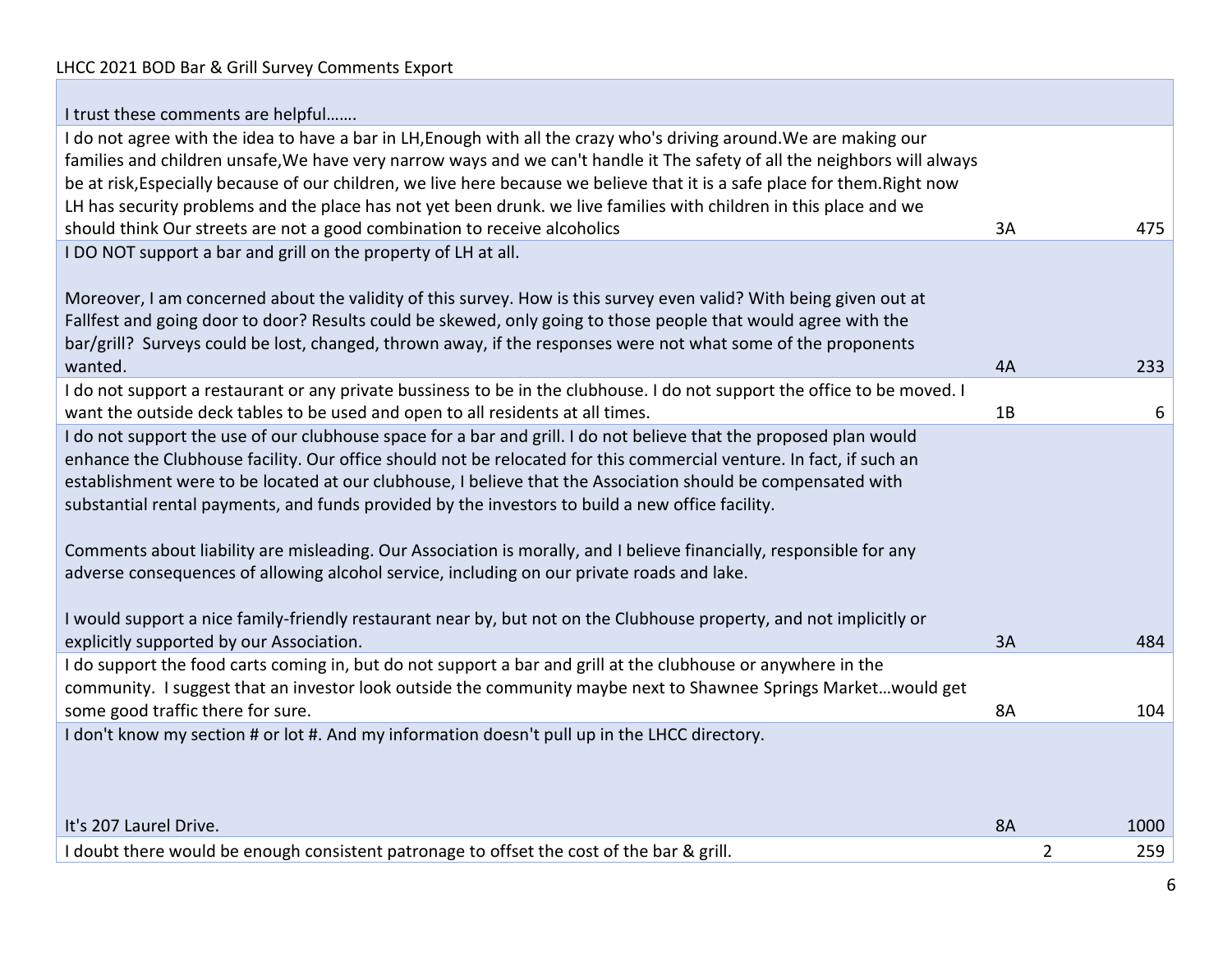| I trust these comments are helpful                                                                                          |           |                |      |
|-----------------------------------------------------------------------------------------------------------------------------|-----------|----------------|------|
| I do not agree with the idea to have a bar in LH, Enough with all the crazy who's driving around. We are making our         |           |                |      |
| families and children unsafe, We have very narrow ways and we can't handle it The safety of all the neighbors will always   |           |                |      |
| be at risk, Especially because of our children, we live here because we believe that it is a safe place for them. Right now |           |                |      |
| LH has security problems and the place has not yet been drunk. we live families with children in this place and we          |           |                |      |
| should think Our streets are not a good combination to receive alcoholics                                                   | 3A        |                | 475  |
| I DO NOT support a bar and grill on the property of LH at all.                                                              |           |                |      |
|                                                                                                                             |           |                |      |
| Moreover, I am concerned about the validity of this survey. How is this survey even valid? With being given out at          |           |                |      |
| Fallfest and going door to door? Results could be skewed, only going to those people that would agree with the              |           |                |      |
| bar/grill? Surveys could be lost, changed, thrown away, if the responses were not what some of the proponents               |           |                |      |
| wanted.                                                                                                                     | 4A        |                | 233  |
| I do not support a restaurant or any private bussiness to be in the clubhouse. I do not support the office to be moved. I   |           |                |      |
| want the outside deck tables to be used and open to all residents at all times.                                             | 1B        |                | 6    |
| I do not support the use of our clubhouse space for a bar and grill. I do not believe that the proposed plan would          |           |                |      |
| enhance the Clubhouse facility. Our office should not be relocated for this commercial venture. In fact, if such an         |           |                |      |
| establishment were to be located at our clubhouse, I believe that the Association should be compensated with                |           |                |      |
| substantial rental payments, and funds provided by the investors to build a new office facility.                            |           |                |      |
| Comments about liability are misleading. Our Association is morally, and I believe financially, responsible for any         |           |                |      |
| adverse consequences of allowing alcohol service, including on our private roads and lake.                                  |           |                |      |
|                                                                                                                             |           |                |      |
| I would support a nice family-friendly restaurant near by, but not on the Clubhouse property, and not implicitly or         |           |                |      |
| explicitly supported by our Association.                                                                                    | 3A        |                | 484  |
| I do support the food carts coming in, but do not support a bar and grill at the clubhouse or anywhere in the               |           |                |      |
| community. I suggest that an investor look outside the community maybe next to Shawnee Springs Marketwould get              |           |                |      |
| some good traffic there for sure.                                                                                           | 8A        |                | 104  |
| I don't know my section # or lot #. And my information doesn't pull up in the LHCC directory.                               |           |                |      |
|                                                                                                                             |           |                |      |
|                                                                                                                             |           |                |      |
|                                                                                                                             |           |                |      |
| It's 207 Laurel Drive.                                                                                                      | <b>8A</b> |                | 1000 |
| I doubt there would be enough consistent patronage to offset the cost of the bar & grill.                                   |           | $\overline{2}$ | 259  |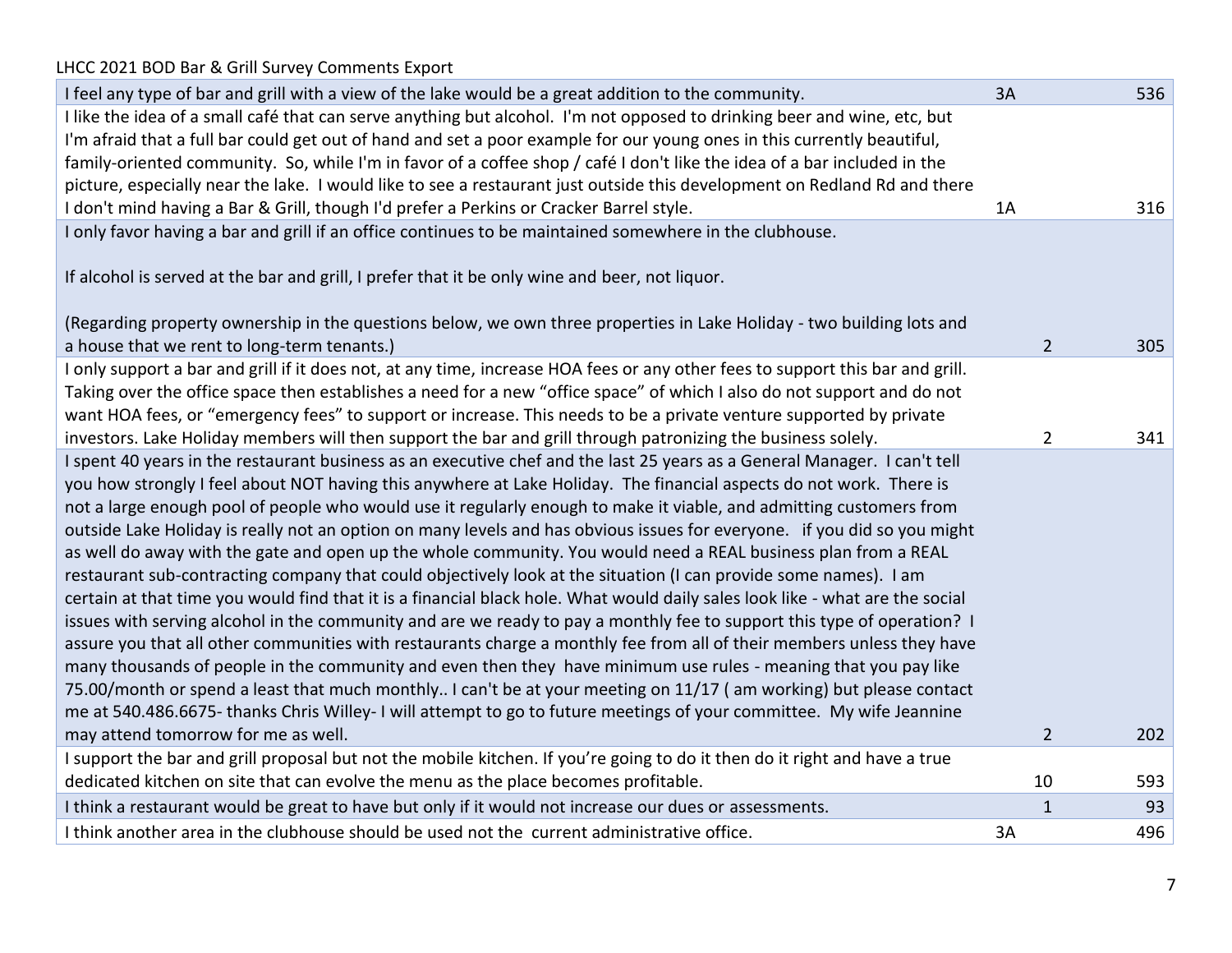| I feel any type of bar and grill with a view of the lake would be a great addition to the community.                           | 3A             | 536 |
|--------------------------------------------------------------------------------------------------------------------------------|----------------|-----|
| I like the idea of a small café that can serve anything but alcohol. I'm not opposed to drinking beer and wine, etc, but       |                |     |
| I'm afraid that a full bar could get out of hand and set a poor example for our young ones in this currently beautiful,        |                |     |
| family-oriented community. So, while I'm in favor of a coffee shop / café I don't like the idea of a bar included in the       |                |     |
| picture, especially near the lake. I would like to see a restaurant just outside this development on Redland Rd and there      |                |     |
| I don't mind having a Bar & Grill, though I'd prefer a Perkins or Cracker Barrel style.                                        | 1A             | 316 |
| I only favor having a bar and grill if an office continues to be maintained somewhere in the clubhouse.                        |                |     |
| If alcohol is served at the bar and grill, I prefer that it be only wine and beer, not liquor.                                 |                |     |
| (Regarding property ownership in the questions below, we own three properties in Lake Holiday - two building lots and          |                |     |
| a house that we rent to long-term tenants.)                                                                                    | $\overline{2}$ | 305 |
| I only support a bar and grill if it does not, at any time, increase HOA fees or any other fees to support this bar and grill. |                |     |
| Taking over the office space then establishes a need for a new "office space" of which I also do not support and do not        |                |     |
| want HOA fees, or "emergency fees" to support or increase. This needs to be a private venture supported by private             |                |     |
| investors. Lake Holiday members will then support the bar and grill through patronizing the business solely.                   | $\overline{2}$ | 341 |
| I spent 40 years in the restaurant business as an executive chef and the last 25 years as a General Manager. I can't tell      |                |     |
| you how strongly I feel about NOT having this anywhere at Lake Holiday. The financial aspects do not work. There is            |                |     |
| not a large enough pool of people who would use it regularly enough to make it viable, and admitting customers from            |                |     |
| outside Lake Holiday is really not an option on many levels and has obvious issues for everyone. if you did so you might       |                |     |
| as well do away with the gate and open up the whole community. You would need a REAL business plan from a REAL                 |                |     |
| restaurant sub-contracting company that could objectively look at the situation (I can provide some names). I am               |                |     |
| certain at that time you would find that it is a financial black hole. What would daily sales look like - what are the social  |                |     |
| issues with serving alcohol in the community and are we ready to pay a monthly fee to support this type of operation? I        |                |     |
| assure you that all other communities with restaurants charge a monthly fee from all of their members unless they have         |                |     |
| many thousands of people in the community and even then they have minimum use rules - meaning that you pay like                |                |     |
| 75.00/month or spend a least that much monthly I can't be at your meeting on 11/17 (am working) but please contact             |                |     |
| me at 540.486.6675-thanks Chris Willey-I will attempt to go to future meetings of your committee. My wife Jeannine             |                |     |
| may attend tomorrow for me as well.                                                                                            | $\overline{2}$ | 202 |
| I support the bar and grill proposal but not the mobile kitchen. If you're going to do it then do it right and have a true     |                |     |
| dedicated kitchen on site that can evolve the menu as the place becomes profitable.                                            | 10             | 593 |
| I think a restaurant would be great to have but only if it would not increase our dues or assessments.                         | 1              | 93  |
| I think another area in the clubhouse should be used not the current administrative office.                                    | 3A             | 496 |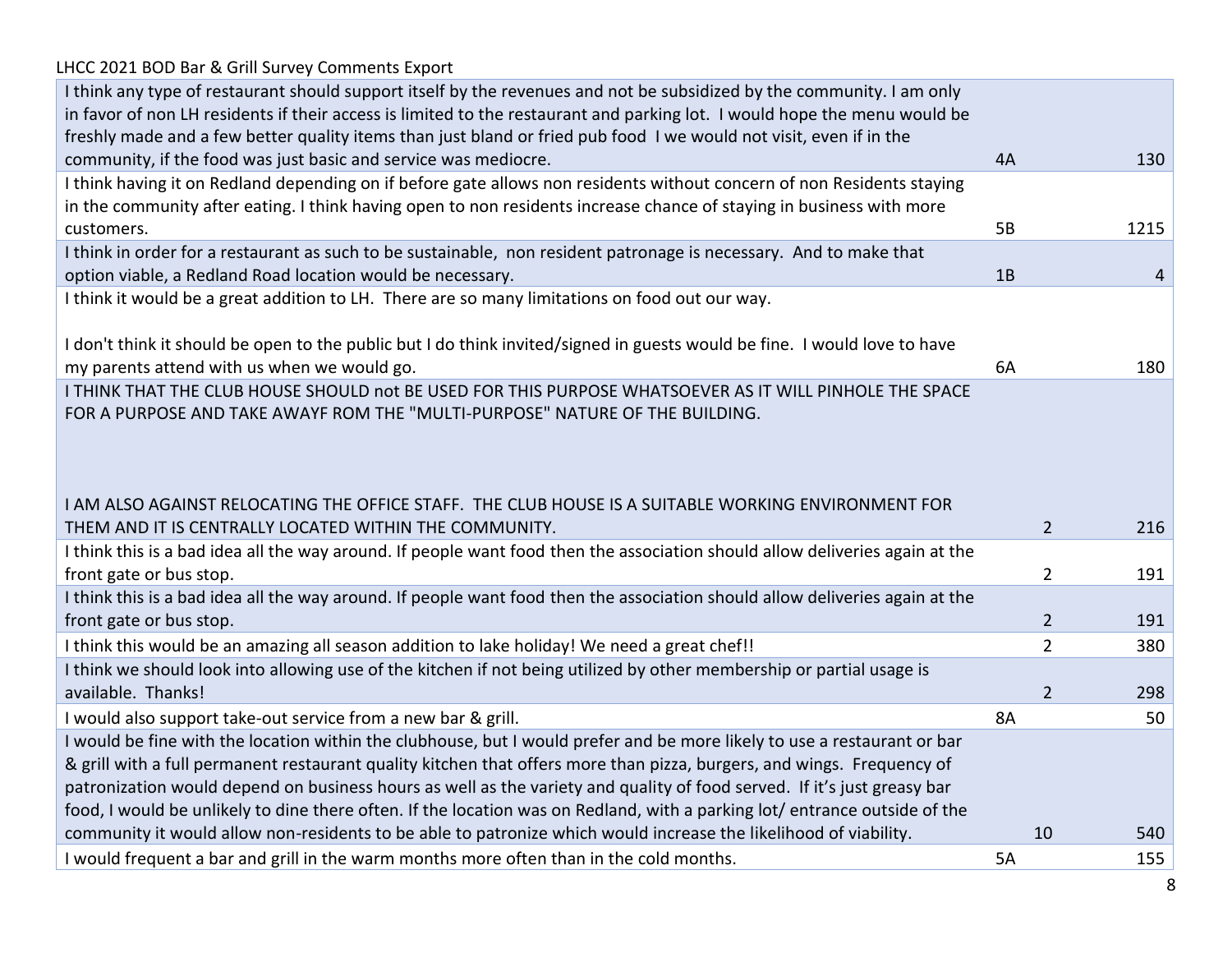| I think any type of restaurant should support itself by the revenues and not be subsidized by the community. I am only<br>in favor of non LH residents if their access is limited to the restaurant and parking lot. I would hope the menu would be<br>freshly made and a few better quality items than just bland or fried pub food I we would not visit, even if in the |           |                |            |
|---------------------------------------------------------------------------------------------------------------------------------------------------------------------------------------------------------------------------------------------------------------------------------------------------------------------------------------------------------------------------|-----------|----------------|------------|
| community, if the food was just basic and service was mediocre.                                                                                                                                                                                                                                                                                                           | 4A        |                | 130        |
| I think having it on Redland depending on if before gate allows non residents without concern of non Residents staying                                                                                                                                                                                                                                                    |           |                |            |
| in the community after eating. I think having open to non residents increase chance of staying in business with more                                                                                                                                                                                                                                                      |           |                |            |
| customers.                                                                                                                                                                                                                                                                                                                                                                | 5B        |                | 1215       |
| I think in order for a restaurant as such to be sustainable, non resident patronage is necessary. And to make that                                                                                                                                                                                                                                                        |           |                |            |
| option viable, a Redland Road location would be necessary.                                                                                                                                                                                                                                                                                                                | 1B        |                | 4          |
| I think it would be a great addition to LH. There are so many limitations on food out our way.                                                                                                                                                                                                                                                                            |           |                |            |
|                                                                                                                                                                                                                                                                                                                                                                           |           |                |            |
| I don't think it should be open to the public but I do think invited/signed in guests would be fine. I would love to have                                                                                                                                                                                                                                                 |           |                |            |
| my parents attend with us when we would go.                                                                                                                                                                                                                                                                                                                               | 6A        |                | 180        |
| I THINK THAT THE CLUB HOUSE SHOULD not BE USED FOR THIS PURPOSE WHATSOEVER AS IT WILL PINHOLE THE SPACE                                                                                                                                                                                                                                                                   |           |                |            |
| FOR A PURPOSE AND TAKE AWAYF ROM THE "MULTI-PURPOSE" NATURE OF THE BUILDING.                                                                                                                                                                                                                                                                                              |           |                |            |
|                                                                                                                                                                                                                                                                                                                                                                           |           |                |            |
|                                                                                                                                                                                                                                                                                                                                                                           |           |                |            |
|                                                                                                                                                                                                                                                                                                                                                                           |           |                |            |
| I AM ALSO AGAINST RELOCATING THE OFFICE STAFF. THE CLUB HOUSE IS A SUITABLE WORKING ENVIRONMENT FOR                                                                                                                                                                                                                                                                       |           |                |            |
| THEM AND IT IS CENTRALLY LOCATED WITHIN THE COMMUNITY.                                                                                                                                                                                                                                                                                                                    |           | $\overline{2}$ | 216        |
| I think this is a bad idea all the way around. If people want food then the association should allow deliveries again at the                                                                                                                                                                                                                                              |           |                |            |
| front gate or bus stop.                                                                                                                                                                                                                                                                                                                                                   |           | $\overline{2}$ | 191        |
| I think this is a bad idea all the way around. If people want food then the association should allow deliveries again at the                                                                                                                                                                                                                                              |           |                |            |
| front gate or bus stop.                                                                                                                                                                                                                                                                                                                                                   |           | $\overline{2}$ | 191        |
| I think this would be an amazing all season addition to lake holiday! We need a great chef!!                                                                                                                                                                                                                                                                              |           | $\overline{2}$ | 380        |
| I think we should look into allowing use of the kitchen if not being utilized by other membership or partial usage is                                                                                                                                                                                                                                                     |           |                |            |
| available. Thanks!                                                                                                                                                                                                                                                                                                                                                        |           | $\overline{2}$ | 298        |
| I would also support take-out service from a new bar & grill.                                                                                                                                                                                                                                                                                                             | <b>8A</b> |                | 50         |
| I would be fine with the location within the clubhouse, but I would prefer and be more likely to use a restaurant or bar                                                                                                                                                                                                                                                  |           |                |            |
| & grill with a full permanent restaurant quality kitchen that offers more than pizza, burgers, and wings. Frequency of                                                                                                                                                                                                                                                    |           |                |            |
| patronization would depend on business hours as well as the variety and quality of food served. If it's just greasy bar                                                                                                                                                                                                                                                   |           |                |            |
| food, I would be unlikely to dine there often. If the location was on Redland, with a parking lot/entrance outside of the                                                                                                                                                                                                                                                 |           |                |            |
|                                                                                                                                                                                                                                                                                                                                                                           |           |                |            |
|                                                                                                                                                                                                                                                                                                                                                                           |           |                |            |
| community it would allow non-residents to be able to patronize which would increase the likelihood of viability.<br>I would frequent a bar and grill in the warm months more often than in the cold months.                                                                                                                                                               | 5A        | 10             | 540<br>155 |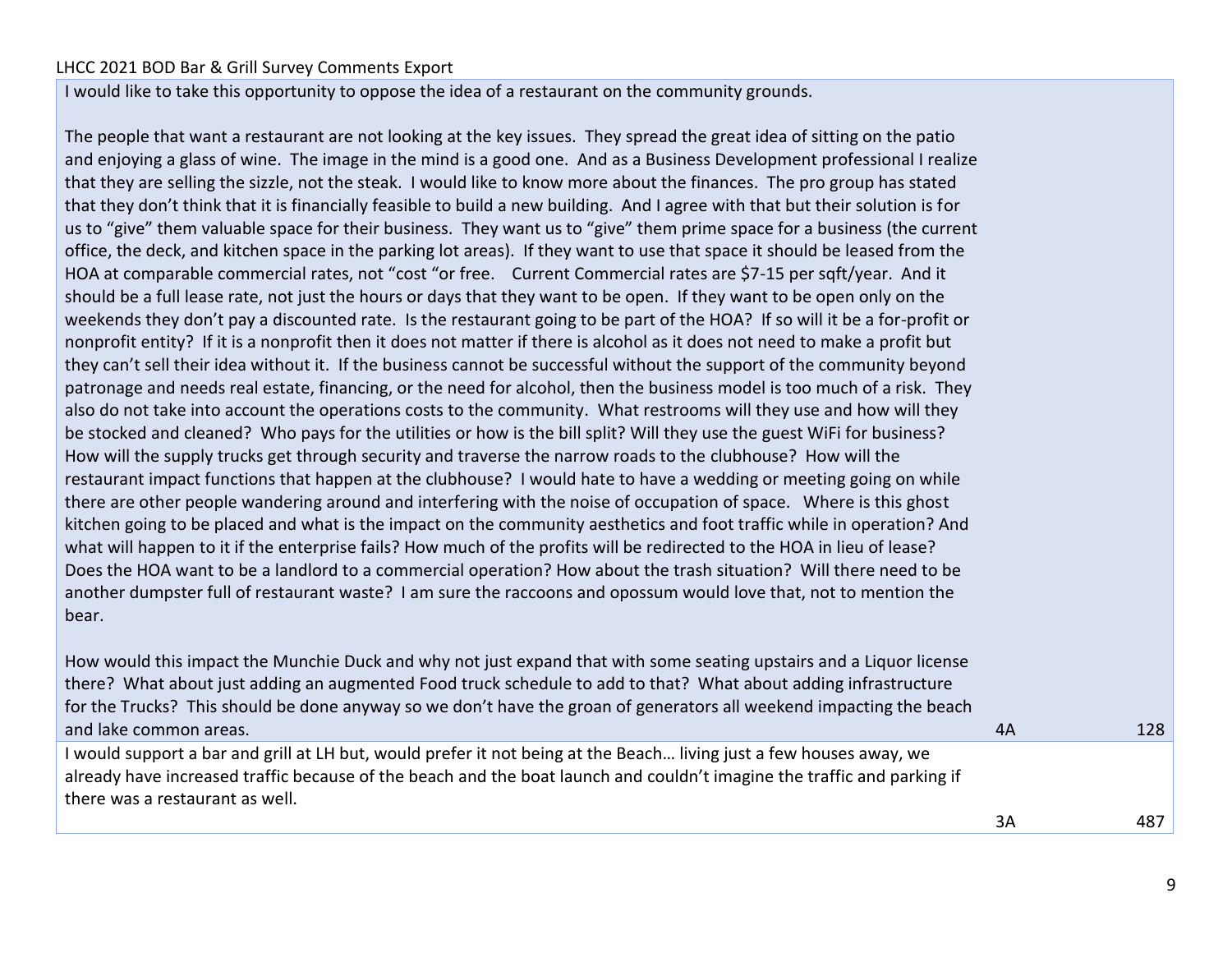I would like to take this opportunity to oppose the idea of a restaurant on the community grounds.

The people that want a restaurant are not looking at the key issues. They spread the great idea of sitting on the patio and enjoying a glass of wine. The image in the mind is a good one. And as a Business Development professional I realize that they are selling the sizzle, not the steak. I would like to know more about the finances. The pro group has stated that they don't think that it is financially feasible to build a new building. And I agree with that but their solution is for us to "give" them valuable space for their business. They want us to "give" them prime space for a business (the current office, the deck, and kitchen space in the parking lot areas). If they want to use that space it should be leased from the HOA at comparable commercial rates, not "cost "or free. Current Commercial rates are \$7-15 per sqft/year. And it should be a full lease rate, not just the hours or days that they want to be open. If they want to be open only on the weekends they don't pay a discounted rate. Is the restaurant going to be part of the HOA? If so will it be a for-profit or nonprofit entity? If it is a nonprofit then it does not matter if there is alcohol as it does not need to make a profit but they can't sell their idea without it. If the business cannot be successful without the support of the community beyond patronage and needs real estate, financing, or the need for alcohol, then the business model is too much of a risk. They also do not take into account the operations costs to the community. What restrooms will they use and how will they be stocked and cleaned? Who pays for the utilities or how is the bill split? Will they use the guest WiFi for business? How will the supply trucks get through security and traverse the narrow roads to the clubhouse? How will the restaurant impact functions that happen at the clubhouse? I would hate to have a wedding or meeting going on while there are other people wandering around and interfering with the noise of occupation of space. Where is this ghost kitchen going to be placed and what is the impact on the community aesthetics and foot traffic while in operation? And what will happen to it if the enterprise fails? How much of the profits will be redirected to the HOA in lieu of lease? Does the HOA want to be a landlord to a commercial operation? How about the trash situation? Will there need to be another dumpster full of restaurant waste? I am sure the raccoons and opossum would love that, not to mention the bear.

How would this impact the Munchie Duck and why not just expand that with some seating upstairs and a Liquor license there? What about just adding an augmented Food truck schedule to add to that? What about adding infrastructure for the Trucks? This should be done anyway so we don't have the groan of generators all weekend impacting the beach and lake common areas. 4A 128

I would support a bar and grill at LH but, would prefer it not being at the Beach… living just a few houses away, we already have increased traffic because of the beach and the boat launch and couldn't imagine the traffic and parking if there was a restaurant as well.

3A 487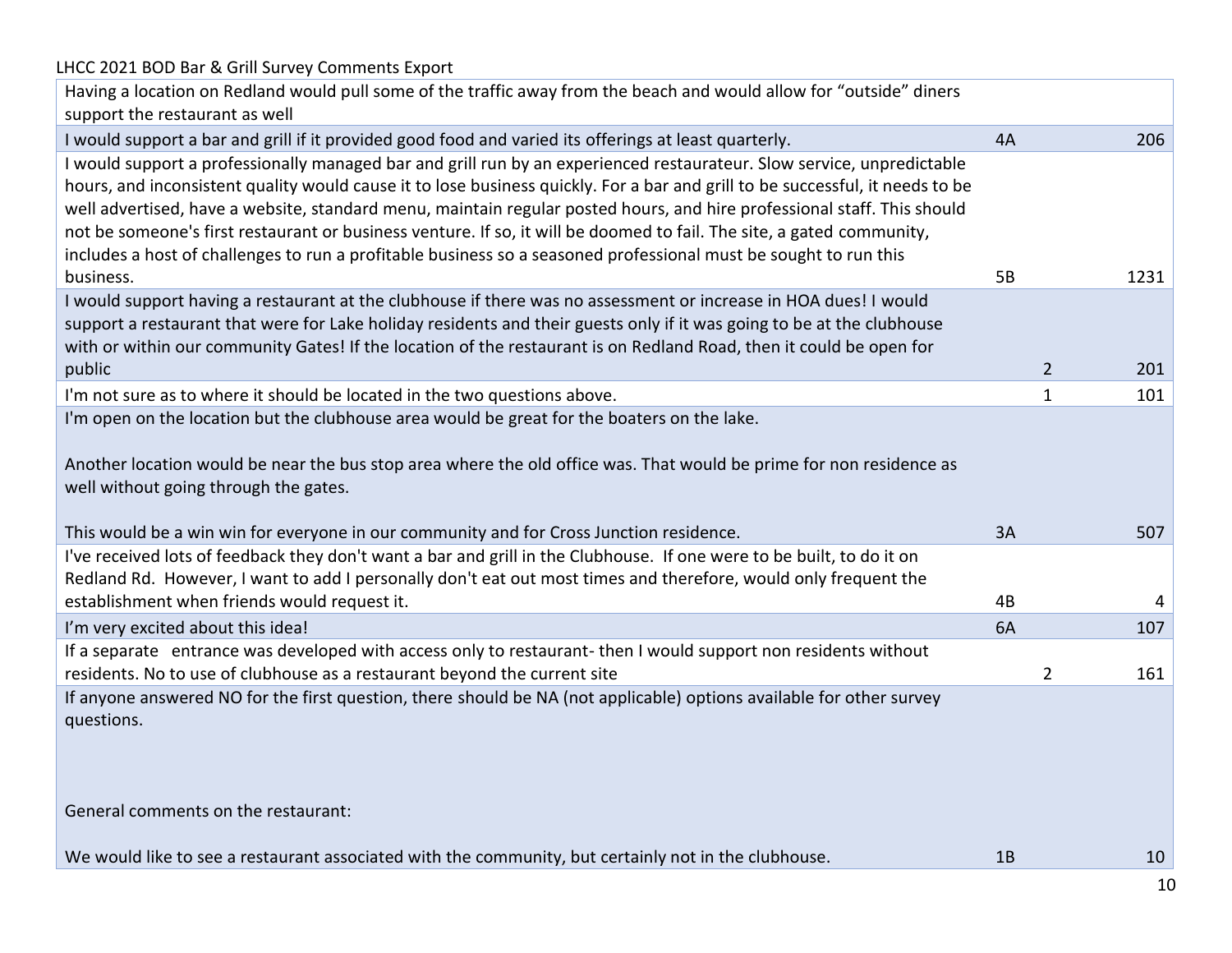# LHCC 2021 BOD Bar & Grill Survey Comments Export Having a location on Redland would pull some of the traffic away from the beach and would allow for "outside" diners support the restaurant as well I would support a bar and grill if it provided good food and varied its offerings at least quarterly. 4A 206 I would support a professionally managed bar and grill run by an experienced restaurateur. Slow service, unpredictable hours, and inconsistent quality would cause it to lose business quickly. For a bar and grill to be successful, it needs to be well advertised, have a website, standard menu, maintain regular posted hours, and hire professional staff. This should not be someone's first restaurant or business venture. If so, it will be doomed to fail. The site, a gated community, includes a host of challenges to run a profitable business so a seasoned professional must be sought to run this business. 5B 58 1231 I would support having a restaurant at the clubhouse if there was no assessment or increase in HOA dues! I would support a restaurant that were for Lake holiday residents and their guests only if it was going to be at the clubhouse with or within our community Gates! If the location of the restaurant is on Redland Road, then it could be open for public 2 201 I'm not sure as to where it should be located in the two questions above. 1 101 101 I'm open on the location but the clubhouse area would be great for the boaters on the lake. Another location would be near the bus stop area where the old office was. That would be prime for non residence as well without going through the gates. This would be a win win for everyone in our community and for Cross Junction residence. 3A 507 I've received lots of feedback they don't want a bar and grill in the Clubhouse. If one were to be built, to do it on Redland Rd. However, I want to add I personally don't eat out most times and therefore, would only frequent the establishment when friends would request it.  $\qquad \qquad \qquad \text{4B} \qquad \qquad \text{4B}$ I'm very excited about this idea! A state of the control of the control of the control of the control of the control of the control of the control of the control of the control of the control of the control of the control If a separate entrance was developed with access only to restaurant- then I would support non residents without residents. No to use of clubhouse as a restaurant beyond the current site  $\sim$  2 161 If anyone answered NO for the first question, there should be NA (not applicable) options available for other survey questions. General comments on the restaurant: We would like to see a restaurant associated with the community, but certainly not in the clubhouse. 18 10 10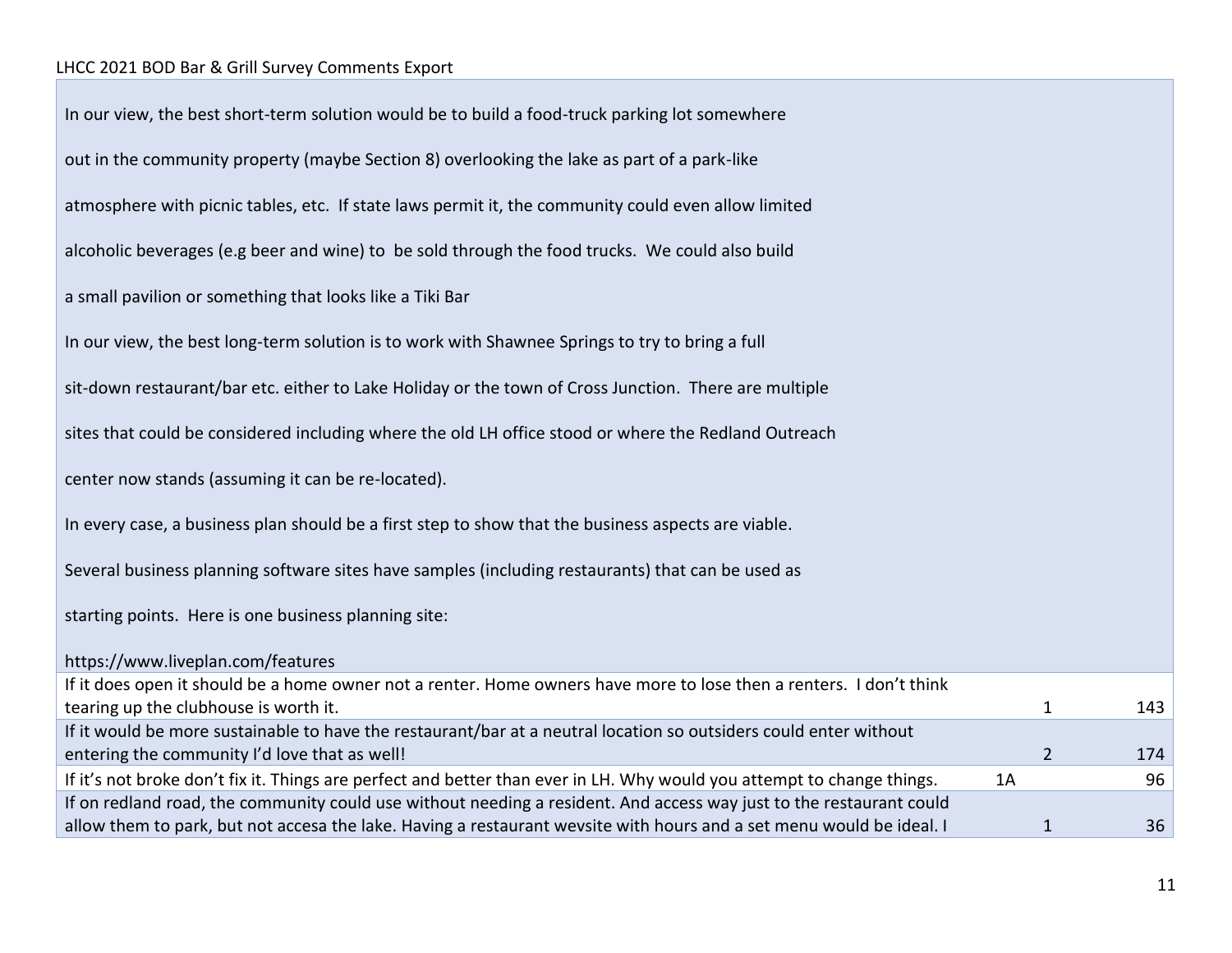| In our view, the best short-term solution would be to build a food-truck parking lot somewhere                         |    |                |     |
|------------------------------------------------------------------------------------------------------------------------|----|----------------|-----|
| out in the community property (maybe Section 8) overlooking the lake as part of a park-like                            |    |                |     |
| atmosphere with picnic tables, etc. If state laws permit it, the community could even allow limited                    |    |                |     |
| alcoholic beverages (e.g beer and wine) to be sold through the food trucks. We could also build                        |    |                |     |
| a small pavilion or something that looks like a Tiki Bar                                                               |    |                |     |
| In our view, the best long-term solution is to work with Shawnee Springs to try to bring a full                        |    |                |     |
| sit-down restaurant/bar etc. either to Lake Holiday or the town of Cross Junction. There are multiple                  |    |                |     |
| sites that could be considered including where the old LH office stood or where the Redland Outreach                   |    |                |     |
| center now stands (assuming it can be re-located).                                                                     |    |                |     |
| In every case, a business plan should be a first step to show that the business aspects are viable.                    |    |                |     |
| Several business planning software sites have samples (including restaurants) that can be used as                      |    |                |     |
| starting points. Here is one business planning site:                                                                   |    |                |     |
| https://www.liveplan.com/features                                                                                      |    |                |     |
| If it does open it should be a home owner not a renter. Home owners have more to lose then a renters. I don't think    |    |                |     |
| tearing up the clubhouse is worth it.                                                                                  |    | 1              | 143 |
| If it would be more sustainable to have the restaurant/bar at a neutral location so outsiders could enter without      |    |                |     |
| entering the community I'd love that as well!                                                                          |    | $\overline{2}$ | 174 |
| If it's not broke don't fix it. Things are perfect and better than ever in LH. Why would you attempt to change things. | 1A |                | 96  |
| If on redland road, the community could use without needing a resident. And access way just to the restaurant could    |    |                |     |
| allow them to park, but not accesa the lake. Having a restaurant wevsite with hours and a set menu would be ideal. I   |    | 1              | 36  |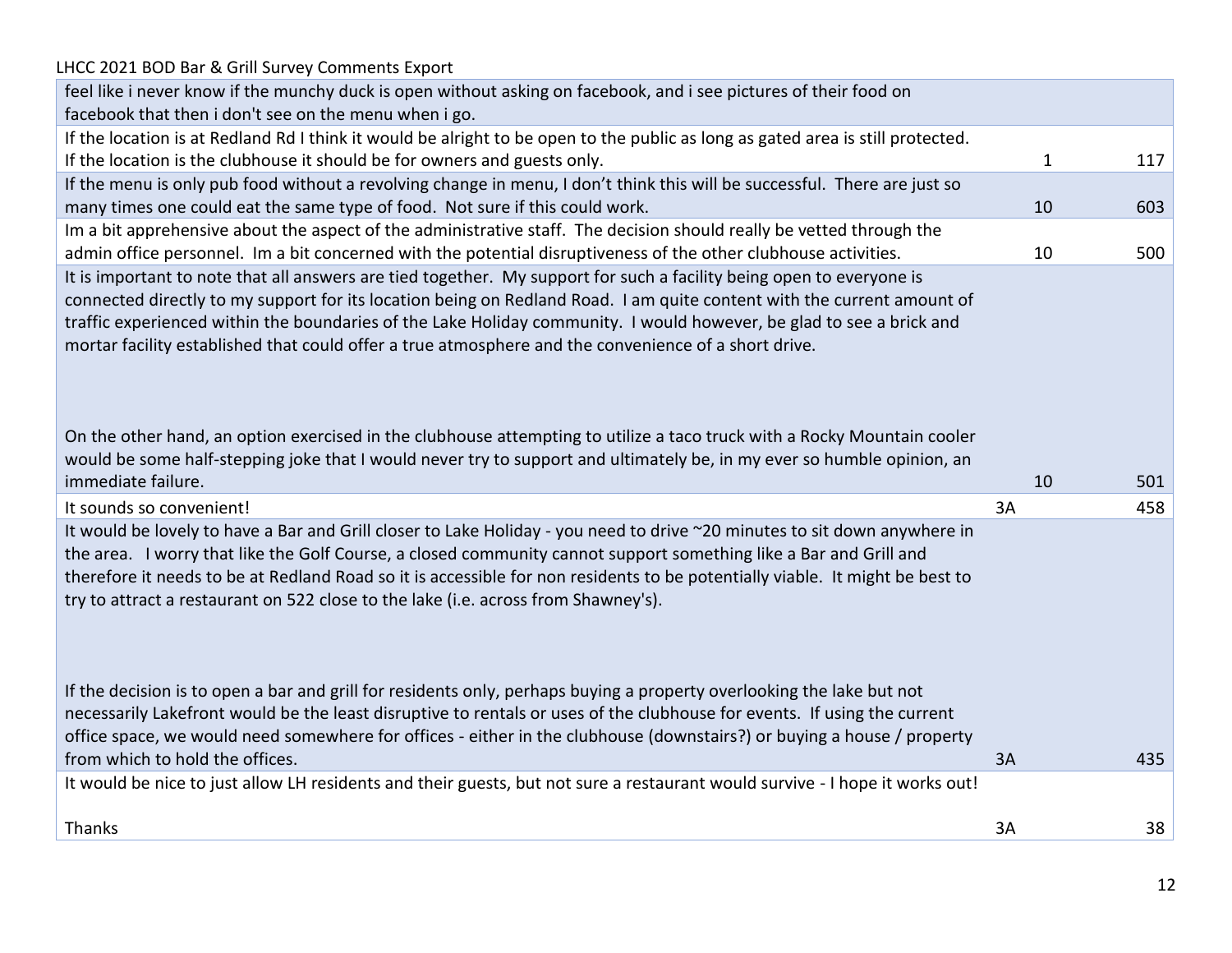| LHCC 2021 BOD Bar & Grill Survey Comments Export                                                                                                                                                                                                                                                                                                                                                                                                                                                                                                                                                          |    |              |     |
|-----------------------------------------------------------------------------------------------------------------------------------------------------------------------------------------------------------------------------------------------------------------------------------------------------------------------------------------------------------------------------------------------------------------------------------------------------------------------------------------------------------------------------------------------------------------------------------------------------------|----|--------------|-----|
| feel like i never know if the munchy duck is open without asking on facebook, and i see pictures of their food on                                                                                                                                                                                                                                                                                                                                                                                                                                                                                         |    |              |     |
| facebook that then i don't see on the menu when i go.                                                                                                                                                                                                                                                                                                                                                                                                                                                                                                                                                     |    |              |     |
| If the location is at Redland Rd I think it would be alright to be open to the public as long as gated area is still protected.                                                                                                                                                                                                                                                                                                                                                                                                                                                                           |    |              |     |
| If the location is the clubhouse it should be for owners and guests only.                                                                                                                                                                                                                                                                                                                                                                                                                                                                                                                                 |    | $\mathbf{1}$ | 117 |
| If the menu is only pub food without a revolving change in menu, I don't think this will be successful. There are just so                                                                                                                                                                                                                                                                                                                                                                                                                                                                                 |    |              |     |
| many times one could eat the same type of food. Not sure if this could work.                                                                                                                                                                                                                                                                                                                                                                                                                                                                                                                              |    | 10           | 603 |
| Im a bit apprehensive about the aspect of the administrative staff. The decision should really be vetted through the                                                                                                                                                                                                                                                                                                                                                                                                                                                                                      |    |              |     |
| admin office personnel. Im a bit concerned with the potential disruptiveness of the other clubhouse activities.                                                                                                                                                                                                                                                                                                                                                                                                                                                                                           |    | 10           | 500 |
| It is important to note that all answers are tied together. My support for such a facility being open to everyone is<br>connected directly to my support for its location being on Redland Road. I am quite content with the current amount of<br>traffic experienced within the boundaries of the Lake Holiday community. I would however, be glad to see a brick and<br>mortar facility established that could offer a true atmosphere and the convenience of a short drive.<br>On the other hand, an option exercised in the clubhouse attempting to utilize a taco truck with a Rocky Mountain cooler |    |              |     |
| would be some half-stepping joke that I would never try to support and ultimately be, in my ever so humble opinion, an                                                                                                                                                                                                                                                                                                                                                                                                                                                                                    |    |              |     |
| immediate failure.                                                                                                                                                                                                                                                                                                                                                                                                                                                                                                                                                                                        |    | 10           | 501 |
| It sounds so convenient!                                                                                                                                                                                                                                                                                                                                                                                                                                                                                                                                                                                  | 3A |              | 458 |
| It would be lovely to have a Bar and Grill closer to Lake Holiday - you need to drive ~20 minutes to sit down anywhere in<br>the area. I worry that like the Golf Course, a closed community cannot support something like a Bar and Grill and<br>therefore it needs to be at Redland Road so it is accessible for non residents to be potentially viable. It might be best to<br>try to attract a restaurant on 522 close to the lake (i.e. across from Shawney's).                                                                                                                                      |    |              |     |
| If the decision is to open a bar and grill for residents only, perhaps buying a property overlooking the lake but not<br>necessarily Lakefront would be the least disruptive to rentals or uses of the clubhouse for events. If using the current<br>office space, we would need somewhere for offices - either in the clubhouse (downstairs?) or buying a house / property<br>from which to hold the offices.                                                                                                                                                                                            | 3A |              | 435 |
| It would be nice to just allow LH residents and their guests, but not sure a restaurant would survive - I hope it works out!                                                                                                                                                                                                                                                                                                                                                                                                                                                                              |    |              |     |
|                                                                                                                                                                                                                                                                                                                                                                                                                                                                                                                                                                                                           |    |              |     |
| Thanks                                                                                                                                                                                                                                                                                                                                                                                                                                                                                                                                                                                                    | 3A |              | 38  |
|                                                                                                                                                                                                                                                                                                                                                                                                                                                                                                                                                                                                           |    |              |     |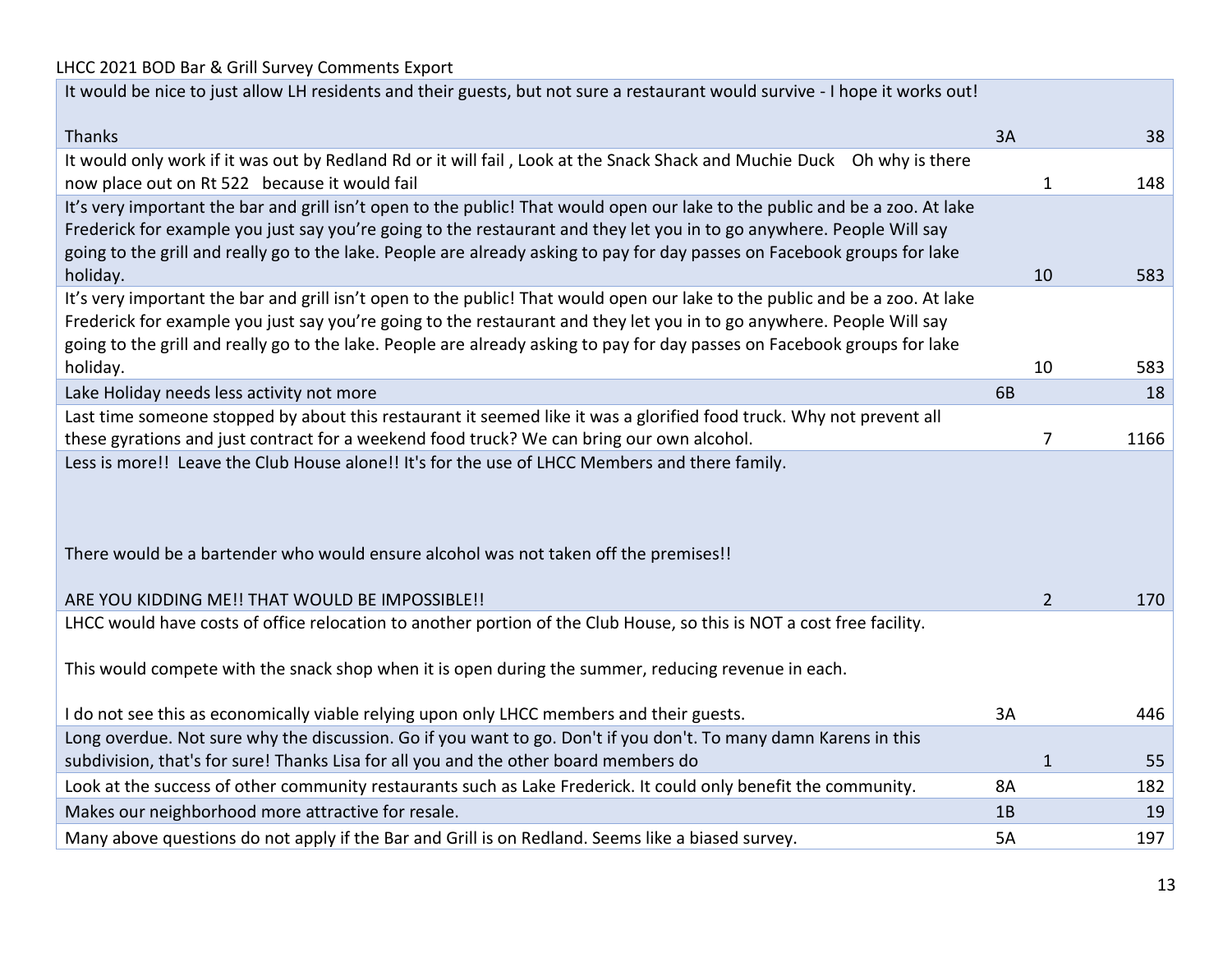| It would be nice to just allow LH residents and their guests, but not sure a restaurant would survive - I hope it works out! |  |
|------------------------------------------------------------------------------------------------------------------------------|--|
|------------------------------------------------------------------------------------------------------------------------------|--|

| <b>Thanks</b>                                                                                                                | 3A             | 38   |
|------------------------------------------------------------------------------------------------------------------------------|----------------|------|
| It would only work if it was out by Redland Rd or it will fail, Look at the Snack Shack and Muchie Duck Oh why is there      |                |      |
| now place out on Rt 522 because it would fail                                                                                | $\mathbf{1}$   | 148  |
| It's very important the bar and grill isn't open to the public! That would open our lake to the public and be a zoo. At lake |                |      |
| Frederick for example you just say you're going to the restaurant and they let you in to go anywhere. People Will say        |                |      |
| going to the grill and really go to the lake. People are already asking to pay for day passes on Facebook groups for lake    |                |      |
| holiday.                                                                                                                     | 10             | 583  |
| It's very important the bar and grill isn't open to the public! That would open our lake to the public and be a zoo. At lake |                |      |
| Frederick for example you just say you're going to the restaurant and they let you in to go anywhere. People Will say        |                |      |
| going to the grill and really go to the lake. People are already asking to pay for day passes on Facebook groups for lake    |                |      |
| holiday.                                                                                                                     | 10             | 583  |
| Lake Holiday needs less activity not more                                                                                    | 6B             | 18   |
| Last time someone stopped by about this restaurant it seemed like it was a glorified food truck. Why not prevent all         |                |      |
| these gyrations and just contract for a weekend food truck? We can bring our own alcohol.                                    | 7              | 1166 |
| Less is more!! Leave the Club House alone!! It's for the use of LHCC Members and there family.                               |                |      |
|                                                                                                                              |                |      |
|                                                                                                                              |                |      |
|                                                                                                                              |                |      |
| There would be a bartender who would ensure alcohol was not taken off the premises!!                                         |                |      |
|                                                                                                                              |                |      |
| ARE YOU KIDDING ME!! THAT WOULD BE IMPOSSIBLE!!                                                                              | $\overline{2}$ | 170  |
| LHCC would have costs of office relocation to another portion of the Club House, so this is NOT a cost free facility.        |                |      |
|                                                                                                                              |                |      |
| This would compete with the snack shop when it is open during the summer, reducing revenue in each.                          |                |      |
|                                                                                                                              |                |      |
| I do not see this as economically viable relying upon only LHCC members and their guests.                                    | 3A             | 446  |
| Long overdue. Not sure why the discussion. Go if you want to go. Don't if you don't. To many damn Karens in this             |                |      |
| subdivision, that's for sure! Thanks Lisa for all you and the other board members do                                         | $\mathbf{1}$   | 55   |
| Look at the success of other community restaurants such as Lake Frederick. It could only benefit the community.              | 8A             | 182  |
| Makes our neighborhood more attractive for resale.                                                                           | 1B             | 19   |
| Many above questions do not apply if the Bar and Grill is on Redland. Seems like a biased survey.                            | <b>5A</b>      | 197  |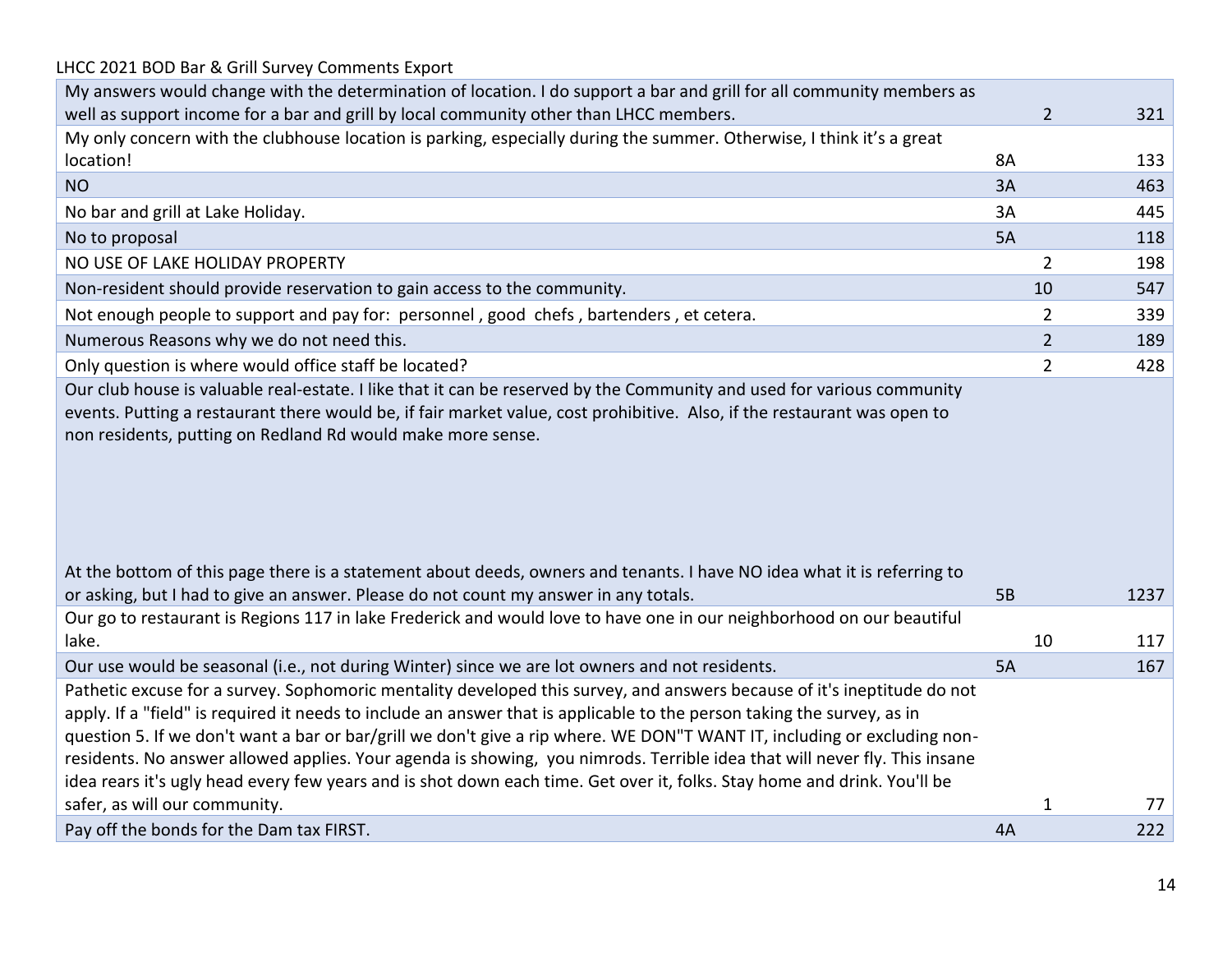| LHCC 2021 BOD Bar & Grill Survey Comments Export                                                                                                                                                                                                                                                                                                                                                                                                                                                                                                                                                                                        |                |                |      |
|-----------------------------------------------------------------------------------------------------------------------------------------------------------------------------------------------------------------------------------------------------------------------------------------------------------------------------------------------------------------------------------------------------------------------------------------------------------------------------------------------------------------------------------------------------------------------------------------------------------------------------------------|----------------|----------------|------|
| My answers would change with the determination of location. I do support a bar and grill for all community members as                                                                                                                                                                                                                                                                                                                                                                                                                                                                                                                   |                |                |      |
| well as support income for a bar and grill by local community other than LHCC members.                                                                                                                                                                                                                                                                                                                                                                                                                                                                                                                                                  |                | $\overline{2}$ | 321  |
| My only concern with the clubhouse location is parking, especially during the summer. Otherwise, I think it's a great                                                                                                                                                                                                                                                                                                                                                                                                                                                                                                                   |                |                |      |
| location!                                                                                                                                                                                                                                                                                                                                                                                                                                                                                                                                                                                                                               | 8A             |                | 133  |
| <b>NO</b>                                                                                                                                                                                                                                                                                                                                                                                                                                                                                                                                                                                                                               | 3A             |                | 463  |
| No bar and grill at Lake Holiday.                                                                                                                                                                                                                                                                                                                                                                                                                                                                                                                                                                                                       | 3A             |                | 445  |
| No to proposal                                                                                                                                                                                                                                                                                                                                                                                                                                                                                                                                                                                                                          | 5A             |                | 118  |
| NO USE OF LAKE HOLIDAY PROPERTY                                                                                                                                                                                                                                                                                                                                                                                                                                                                                                                                                                                                         |                | 2              | 198  |
| Non-resident should provide reservation to gain access to the community.                                                                                                                                                                                                                                                                                                                                                                                                                                                                                                                                                                |                | 10             | 547  |
| Not enough people to support and pay for: personnel, good chefs, bartenders, et cetera.                                                                                                                                                                                                                                                                                                                                                                                                                                                                                                                                                 |                | 2              | 339  |
| Numerous Reasons why we do not need this.                                                                                                                                                                                                                                                                                                                                                                                                                                                                                                                                                                                               |                | $\overline{2}$ | 189  |
| Only question is where would office staff be located?                                                                                                                                                                                                                                                                                                                                                                                                                                                                                                                                                                                   |                | 2              | 428  |
| Our club house is valuable real-estate. I like that it can be reserved by the Community and used for various community<br>events. Putting a restaurant there would be, if fair market value, cost prohibitive. Also, if the restaurant was open to<br>non residents, putting on Redland Rd would make more sense.<br>At the bottom of this page there is a statement about deeds, owners and tenants. I have NO idea what it is referring to<br>or asking, but I had to give an answer. Please do not count my answer in any totals.                                                                                                    | 5 <sub>B</sub> |                | 1237 |
| Our go to restaurant is Regions 117 in lake Frederick and would love to have one in our neighborhood on our beautiful                                                                                                                                                                                                                                                                                                                                                                                                                                                                                                                   |                |                |      |
| lake.                                                                                                                                                                                                                                                                                                                                                                                                                                                                                                                                                                                                                                   |                | 10             | 117  |
| Our use would be seasonal (i.e., not during Winter) since we are lot owners and not residents.                                                                                                                                                                                                                                                                                                                                                                                                                                                                                                                                          | 5A             |                | 167  |
| Pathetic excuse for a survey. Sophomoric mentality developed this survey, and answers because of it's ineptitude do not<br>apply. If a "field" is required it needs to include an answer that is applicable to the person taking the survey, as in<br>question 5. If we don't want a bar or bar/grill we don't give a rip where. WE DON"T WANT IT, including or excluding non-<br>residents. No answer allowed applies. Your agenda is showing, you nimrods. Terrible idea that will never fly. This insane<br>idea rears it's ugly head every few years and is shot down each time. Get over it, folks. Stay home and drink. You'll be |                |                |      |
| safer, as will our community.                                                                                                                                                                                                                                                                                                                                                                                                                                                                                                                                                                                                           |                | 1              | 77   |
| Pay off the bonds for the Dam tax FIRST.                                                                                                                                                                                                                                                                                                                                                                                                                                                                                                                                                                                                | 4A             |                | 222  |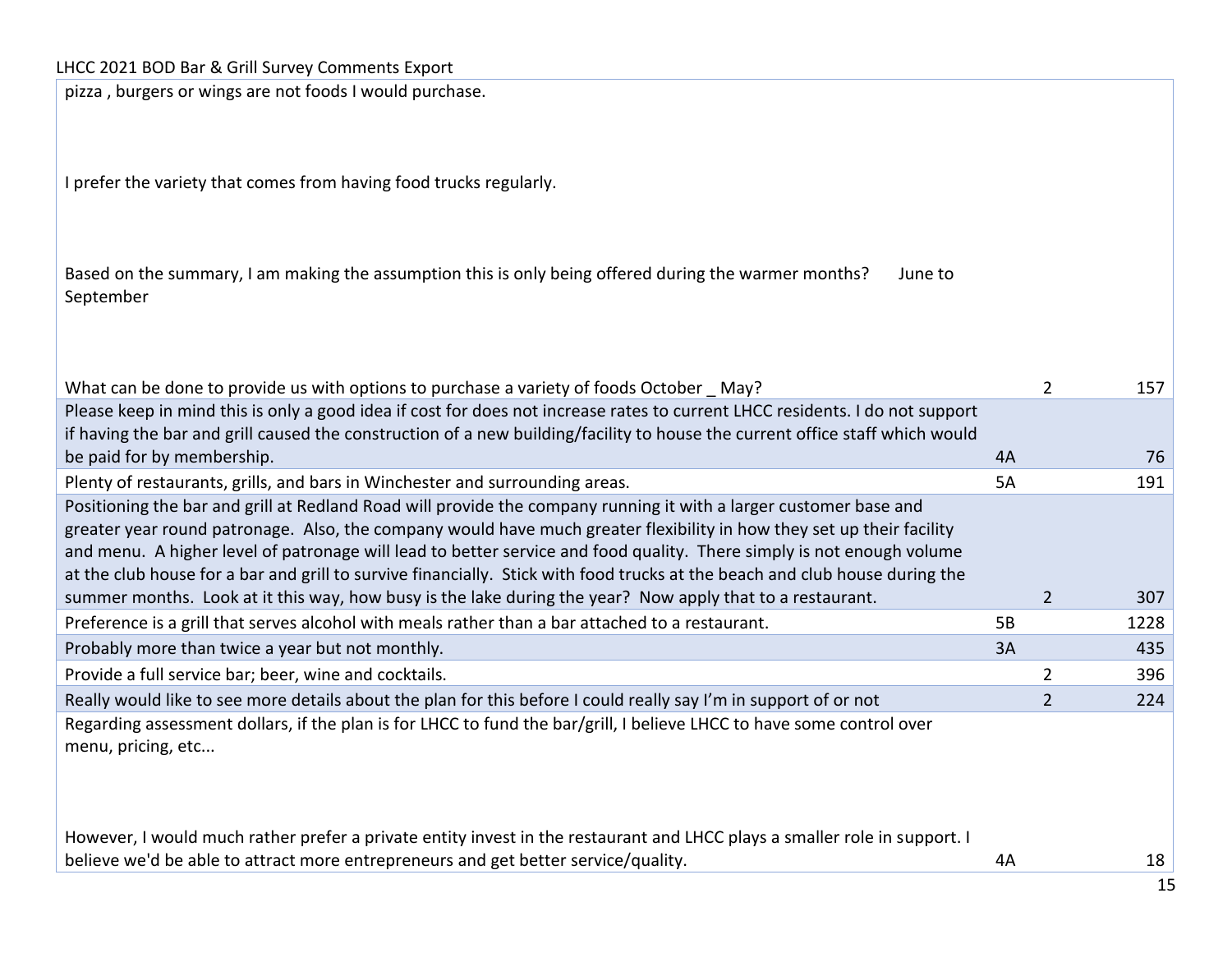pizza , burgers or wings are not foods I would purchase.

I prefer the variety that comes from having food trucks regularly.

| Based on the summary, I am making the assumption this is only being offered during the warmer months? | June to |
|-------------------------------------------------------------------------------------------------------|---------|
| September                                                                                             |         |

| What can be done to provide us with options to purchase a variety of foods October May?                                                                                                                                                                                                                                                                                                                                                                                                            |    | 2              | 157  |
|----------------------------------------------------------------------------------------------------------------------------------------------------------------------------------------------------------------------------------------------------------------------------------------------------------------------------------------------------------------------------------------------------------------------------------------------------------------------------------------------------|----|----------------|------|
| Please keep in mind this is only a good idea if cost for does not increase rates to current LHCC residents. I do not support<br>if having the bar and grill caused the construction of a new building/facility to house the current office staff which would                                                                                                                                                                                                                                       |    |                |      |
| be paid for by membership.                                                                                                                                                                                                                                                                                                                                                                                                                                                                         | 4A |                | 76   |
| Plenty of restaurants, grills, and bars in Winchester and surrounding areas.                                                                                                                                                                                                                                                                                                                                                                                                                       | 5A |                | 191  |
| Positioning the bar and grill at Redland Road will provide the company running it with a larger customer base and<br>greater year round patronage. Also, the company would have much greater flexibility in how they set up their facility<br>and menu. A higher level of patronage will lead to better service and food quality. There simply is not enough volume<br>at the club house for a bar and grill to survive financially. Stick with food trucks at the beach and club house during the |    |                |      |
| summer months. Look at it this way, how busy is the lake during the year? Now apply that to a restaurant.                                                                                                                                                                                                                                                                                                                                                                                          |    | $\overline{2}$ | 307  |
| Preference is a grill that serves alcohol with meals rather than a bar attached to a restaurant.                                                                                                                                                                                                                                                                                                                                                                                                   | 5B |                | 1228 |
| Probably more than twice a year but not monthly.                                                                                                                                                                                                                                                                                                                                                                                                                                                   | 3A |                | 435  |
| Provide a full service bar; beer, wine and cocktails.                                                                                                                                                                                                                                                                                                                                                                                                                                              |    | $\overline{2}$ | 396  |
| Really would like to see more details about the plan for this before I could really say I'm in support of or not                                                                                                                                                                                                                                                                                                                                                                                   |    |                | 224  |
| Regarding assessment dollars, if the plan is for LHCC to fund the bar/grill, I believe LHCC to have some control over<br>menu, pricing, etc                                                                                                                                                                                                                                                                                                                                                        |    |                |      |
| However, I would much rather prefer a private entity invest in the restaurant and LHCC plays a smaller role in support. I<br>believe we'd be able to attract more entrepreneurs and get better service/quality.                                                                                                                                                                                                                                                                                    | 4A |                | 18   |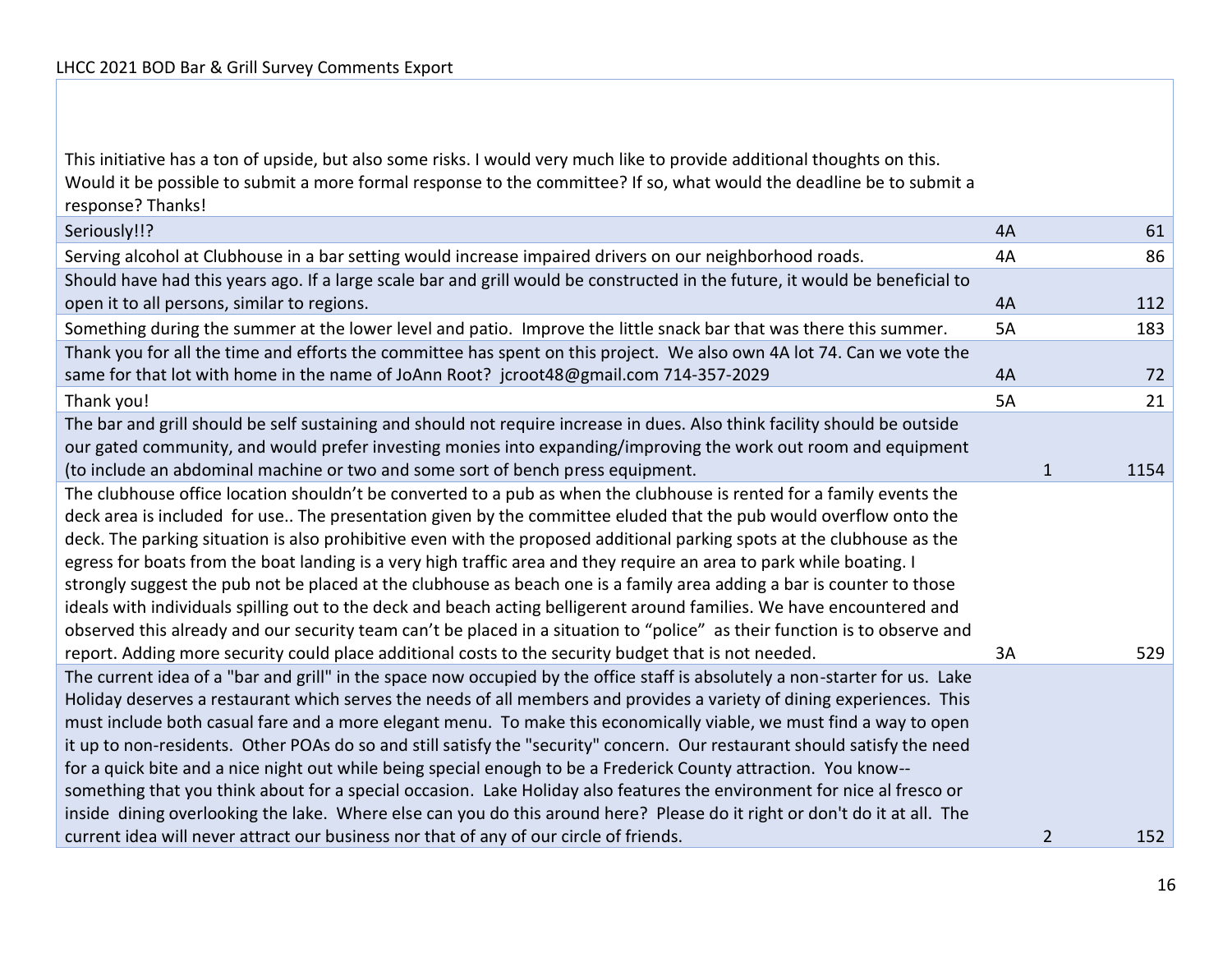This initiative has a ton of upside, but also some risks. I would very much like to provide additional thoughts on this. Would it be possible to submit a more formal response to the committee? If so, what would the deadline be to submit a response? Thanks!

| Seriously!!?                                                                                                                                                                                                                                                                                                                                                                                                                                                                                                                                                                                                                                                                                                                                                                                                                                                                                                                                                                            | 4A        | 61                    |
|-----------------------------------------------------------------------------------------------------------------------------------------------------------------------------------------------------------------------------------------------------------------------------------------------------------------------------------------------------------------------------------------------------------------------------------------------------------------------------------------------------------------------------------------------------------------------------------------------------------------------------------------------------------------------------------------------------------------------------------------------------------------------------------------------------------------------------------------------------------------------------------------------------------------------------------------------------------------------------------------|-----------|-----------------------|
| Serving alcohol at Clubhouse in a bar setting would increase impaired drivers on our neighborhood roads.                                                                                                                                                                                                                                                                                                                                                                                                                                                                                                                                                                                                                                                                                                                                                                                                                                                                                | 4A        | 86                    |
| Should have had this years ago. If a large scale bar and grill would be constructed in the future, it would be beneficial to<br>open it to all persons, similar to regions.                                                                                                                                                                                                                                                                                                                                                                                                                                                                                                                                                                                                                                                                                                                                                                                                             | 4A        | 112                   |
| Something during the summer at the lower level and patio. Improve the little snack bar that was there this summer.                                                                                                                                                                                                                                                                                                                                                                                                                                                                                                                                                                                                                                                                                                                                                                                                                                                                      | 5A        | 183                   |
| Thank you for all the time and efforts the committee has spent on this project. We also own 4A lot 74. Can we vote the                                                                                                                                                                                                                                                                                                                                                                                                                                                                                                                                                                                                                                                                                                                                                                                                                                                                  |           |                       |
| same for that lot with home in the name of JoAnn Root? jcroot48@gmail.com 714-357-2029                                                                                                                                                                                                                                                                                                                                                                                                                                                                                                                                                                                                                                                                                                                                                                                                                                                                                                  | 4A        | 72                    |
| Thank you!                                                                                                                                                                                                                                                                                                                                                                                                                                                                                                                                                                                                                                                                                                                                                                                                                                                                                                                                                                              | <b>5A</b> | 21                    |
| The bar and grill should be self sustaining and should not require increase in dues. Also think facility should be outside                                                                                                                                                                                                                                                                                                                                                                                                                                                                                                                                                                                                                                                                                                                                                                                                                                                              |           |                       |
| our gated community, and would prefer investing monies into expanding/improving the work out room and equipment                                                                                                                                                                                                                                                                                                                                                                                                                                                                                                                                                                                                                                                                                                                                                                                                                                                                         |           |                       |
| (to include an abdominal machine or two and some sort of bench press equipment.                                                                                                                                                                                                                                                                                                                                                                                                                                                                                                                                                                                                                                                                                                                                                                                                                                                                                                         |           | $\mathbf{1}$<br>1154  |
| The clubhouse office location shouldn't be converted to a pub as when the clubhouse is rented for a family events the<br>deck area is included for use The presentation given by the committee eluded that the pub would overflow onto the<br>deck. The parking situation is also prohibitive even with the proposed additional parking spots at the clubhouse as the<br>egress for boats from the boat landing is a very high traffic area and they require an area to park while boating. I<br>strongly suggest the pub not be placed at the clubhouse as beach one is a family area adding a bar is counter to those<br>ideals with individuals spilling out to the deck and beach acting belligerent around families. We have encountered and<br>observed this already and our security team can't be placed in a situation to "police" as their function is to observe and<br>report. Adding more security could place additional costs to the security budget that is not needed. | 3A        | 529                   |
| The current idea of a "bar and grill" in the space now occupied by the office staff is absolutely a non-starter for us. Lake<br>Holiday deserves a restaurant which serves the needs of all members and provides a variety of dining experiences. This<br>must include both casual fare and a more elegant menu. To make this economically viable, we must find a way to open<br>it up to non-residents. Other POAs do so and still satisfy the "security" concern. Our restaurant should satisfy the need<br>for a quick bite and a nice night out while being special enough to be a Frederick County attraction. You know--<br>something that you think about for a special occasion. Lake Holiday also features the environment for nice al fresco or<br>inside dining overlooking the lake. Where else can you do this around here? Please do it right or don't do it at all. The<br>current idea will never attract our business nor that of any of our circle of friends.        |           | $\overline{2}$<br>152 |
|                                                                                                                                                                                                                                                                                                                                                                                                                                                                                                                                                                                                                                                                                                                                                                                                                                                                                                                                                                                         |           |                       |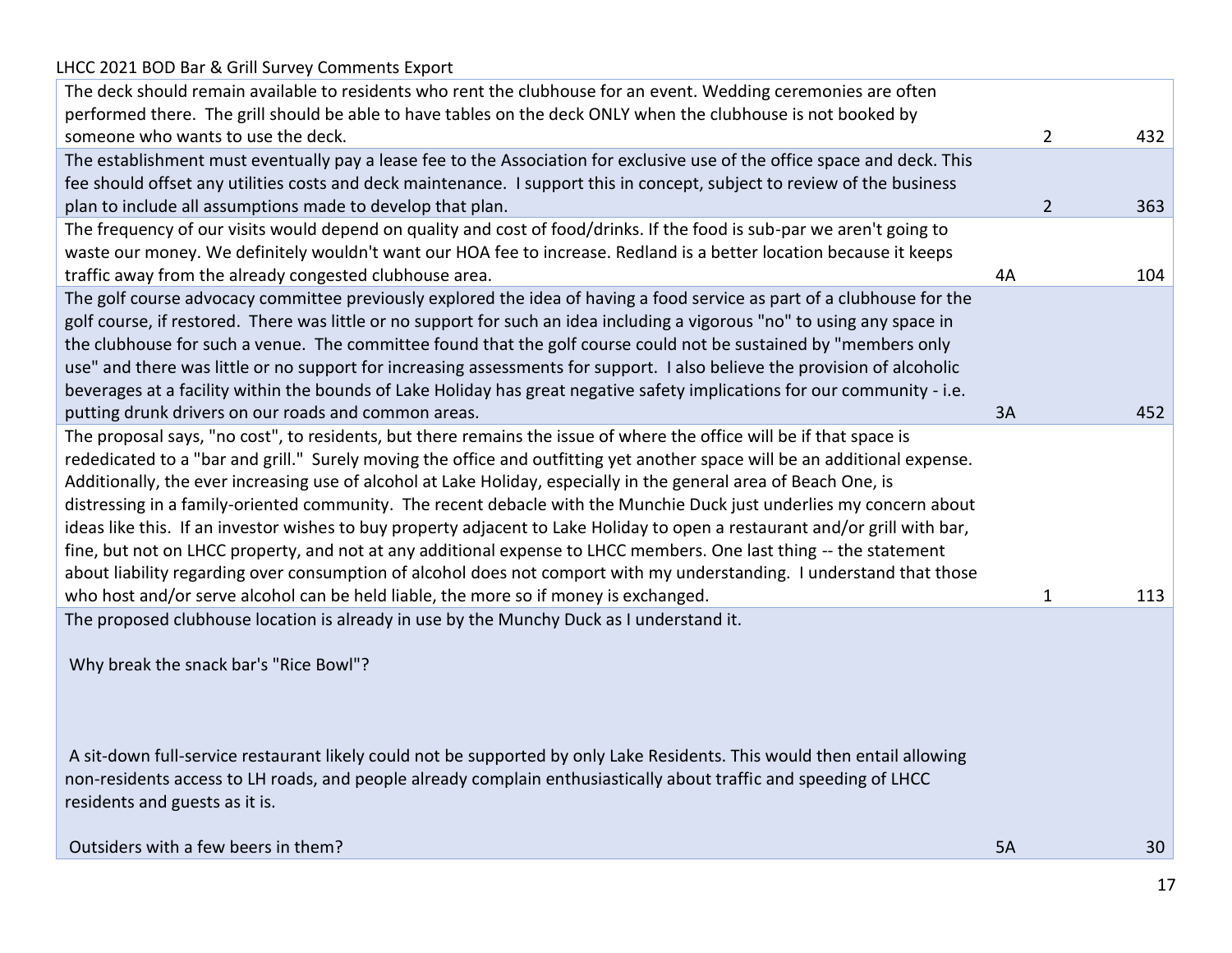# LHCC 2021 BOD Bar & Grill Survey Comments Export The deck should remain available to residents who rent the clubhouse for an event. Wedding ceremonies are often performed there. The grill should be able to have tables on the deck ONLY when the clubhouse is not booked by someone who wants to use the deck.  $\sim$  432 The establishment must eventually pay a lease fee to the Association for exclusive use of the office space and deck. This fee should offset any utilities costs and deck maintenance. I support this in concept, subject to review of the business plan to include all assumptions made to develop that plan. 2 363 The frequency of our visits would depend on quality and cost of food/drinks. If the food is sub-par we aren't going to waste our money. We definitely wouldn't want our HOA fee to increase. Redland is a better location because it keeps traffic away from the already congested clubhouse area. 
44 104 The golf course advocacy committee previously explored the idea of having a food service as part of a clubhouse for the golf course, if restored. There was little or no support for such an idea including a vigorous "no" to using any space in the clubhouse for such a venue. The committee found that the golf course could not be sustained by "members only use" and there was little or no support for increasing assessments for support. I also believe the provision of alcoholic beverages at a facility within the bounds of Lake Holiday has great negative safety implications for our community - i.e. putting drunk drivers on our roads and common areas. 3A 52 The proposal says, "no cost", to residents, but there remains the issue of where the office will be if that space is rededicated to a "bar and grill." Surely moving the office and outfitting yet another space will be an additional expense. Additionally, the ever increasing use of alcohol at Lake Holiday, especially in the general area of Beach One, is distressing in a family-oriented community. The recent debacle with the Munchie Duck just underlies my concern about ideas like this. If an investor wishes to buy property adjacent to Lake Holiday to open a restaurant and/or grill with bar, fine, but not on LHCC property, and not at any additional expense to LHCC members. One last thing -- the statement about liability regarding over consumption of alcohol does not comport with my understanding. I understand that those who host and/or serve alcohol can be held liable, the more so if money is exchanged. 1 113 113 The proposed clubhouse location is already in use by the Munchy Duck as I understand it. Why break the snack bar's "Rice Bowl"? A sit-down full-service restaurant likely could not be supported by only Lake Residents. This would then entail allowing non-residents access to LH roads, and people already complain enthusiastically about traffic and speeding of LHCC residents and guests as it is. Outsiders with a few beers in them? 5A 30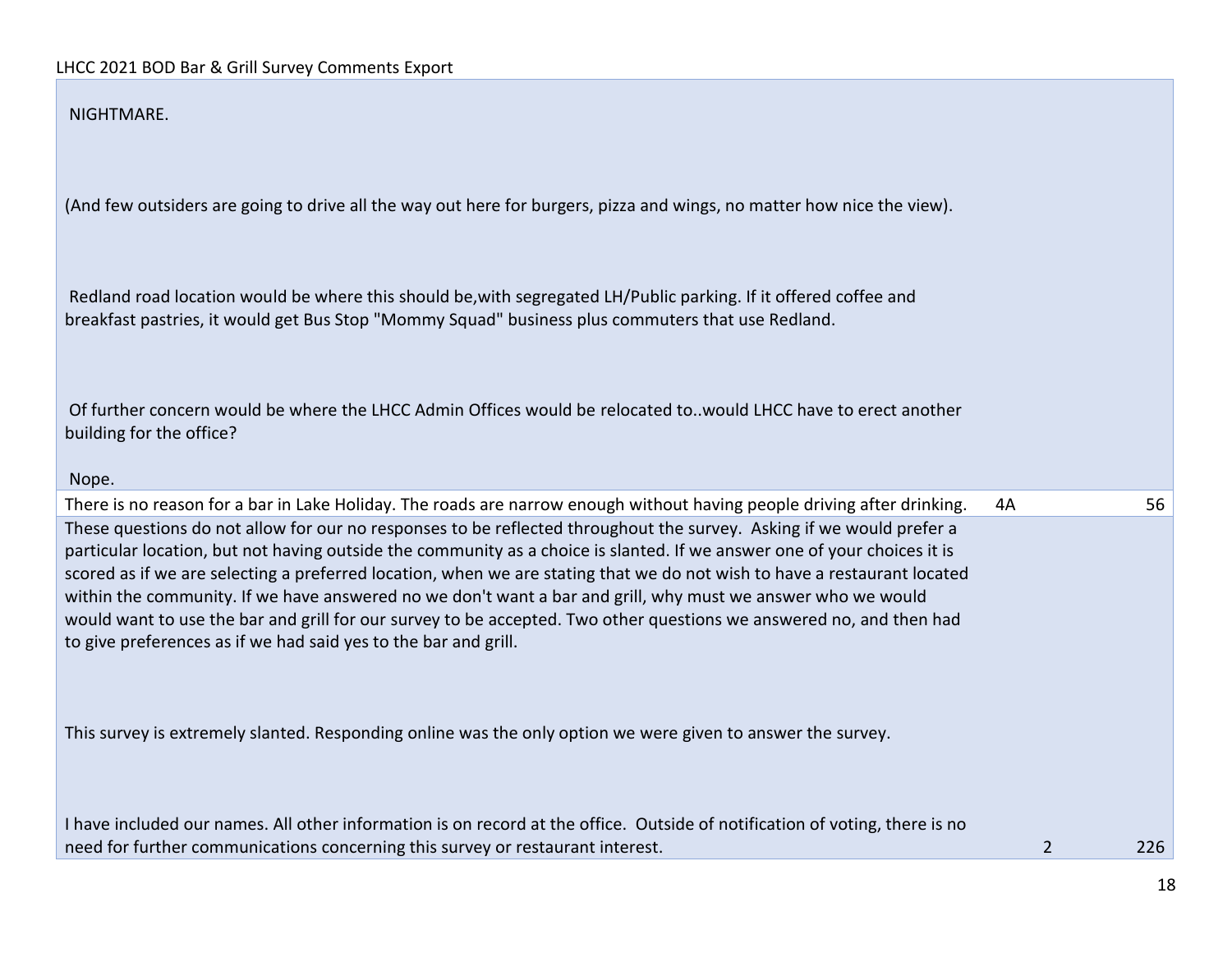#### NIGHTMARE.

(And few outsiders are going to drive all the way out here for burgers, pizza and wings, no matter how nice the view).

Redland road location would be where this should be,with segregated LH/Public parking. If it offered coffee and breakfast pastries, it would get Bus Stop "Mommy Squad" business plus commuters that use Redland.

Of further concern would be where the LHCC Admin Offices would be relocated to..would LHCC have to erect another building for the office?

#### Nope.

There is no reason for a bar in Lake Holiday. The roads are narrow enough without having people driving after drinking. 4A 56 These questions do not allow for our no responses to be reflected throughout the survey. Asking if we would prefer a particular location, but not having outside the community as a choice is slanted. If we answer one of your choices it is scored as if we are selecting a preferred location, when we are stating that we do not wish to have a restaurant located within the community. If we have answered no we don't want a bar and grill, why must we answer who we would would want to use the bar and grill for our survey to be accepted. Two other questions we answered no, and then had to give preferences as if we had said yes to the bar and grill.

This survey is extremely slanted. Responding online was the only option we were given to answer the survey.

I have included our names. All other information is on record at the office. Outside of notification of voting, there is no need for further communications concerning this survey or restaurant interest. 2 226 226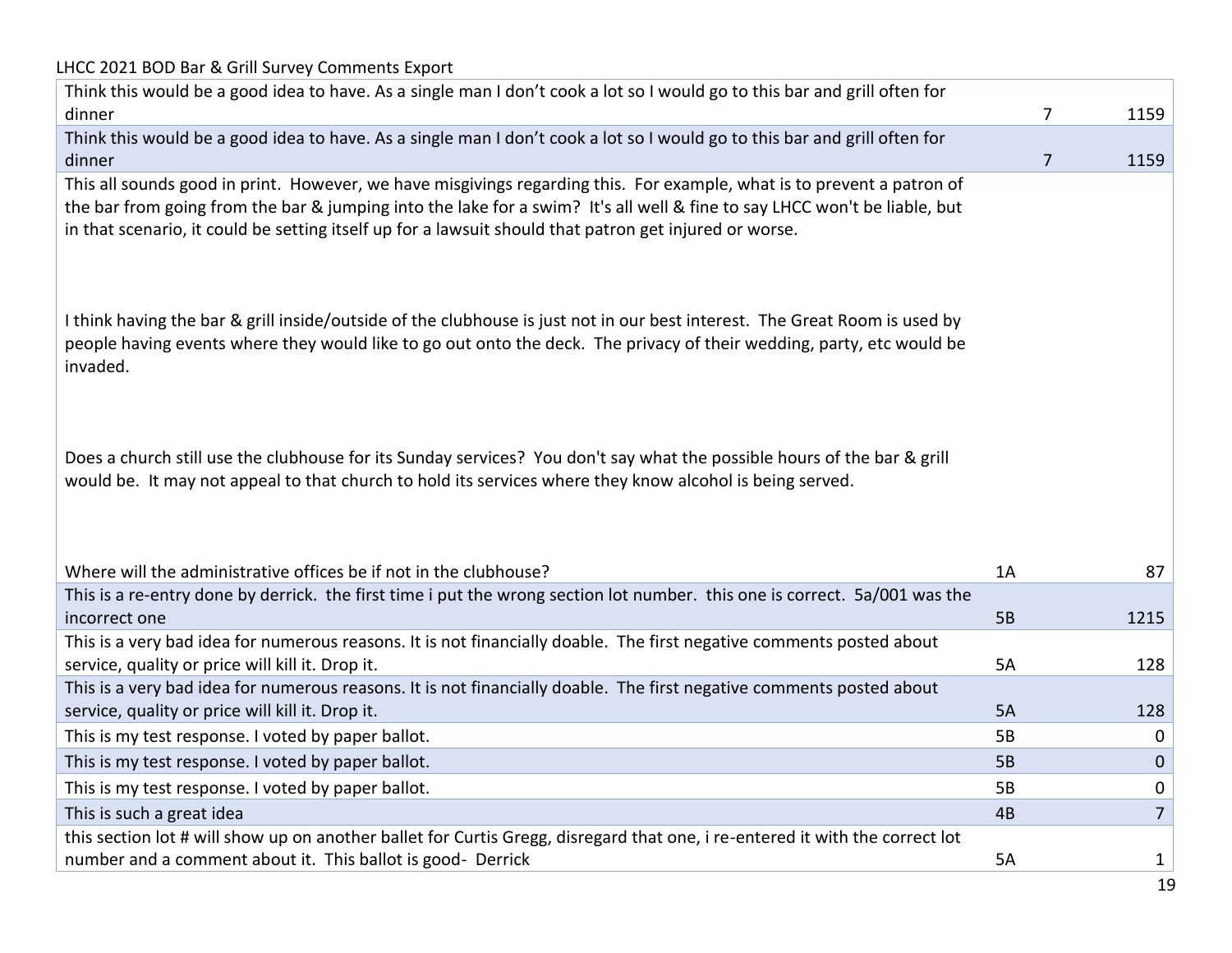| LHCC 2021 BOD Bar & Grill Survey Comments Export                                                                                                                                                                                                                                                                                                              |    |                |
|---------------------------------------------------------------------------------------------------------------------------------------------------------------------------------------------------------------------------------------------------------------------------------------------------------------------------------------------------------------|----|----------------|
| Think this would be a good idea to have. As a single man I don't cook a lot so I would go to this bar and grill often for                                                                                                                                                                                                                                     |    |                |
| dinner                                                                                                                                                                                                                                                                                                                                                        | 7  | 1159           |
| Think this would be a good idea to have. As a single man I don't cook a lot so I would go to this bar and grill often for                                                                                                                                                                                                                                     |    |                |
| dinner                                                                                                                                                                                                                                                                                                                                                        | 7  | 1159           |
| This all sounds good in print. However, we have misgivings regarding this. For example, what is to prevent a patron of<br>the bar from going from the bar & jumping into the lake for a swim? It's all well & fine to say LHCC won't be liable, but<br>in that scenario, it could be setting itself up for a lawsuit should that patron get injured or worse. |    |                |
| I think having the bar & grill inside/outside of the clubhouse is just not in our best interest. The Great Room is used by<br>people having events where they would like to go out onto the deck. The privacy of their wedding, party, etc would be<br>invaded.                                                                                               |    |                |
| Does a church still use the clubhouse for its Sunday services? You don't say what the possible hours of the bar & grill<br>would be. It may not appeal to that church to hold its services where they know alcohol is being served.<br>Where will the administrative offices be if not in the clubhouse?                                                      | 1A | 87             |
| This is a re-entry done by derrick. the first time i put the wrong section lot number. this one is correct. 5a/001 was the                                                                                                                                                                                                                                    |    |                |
| incorrect one                                                                                                                                                                                                                                                                                                                                                 | 5B | 1215           |
| This is a very bad idea for numerous reasons. It is not financially doable. The first negative comments posted about                                                                                                                                                                                                                                          |    |                |
| service, quality or price will kill it. Drop it.                                                                                                                                                                                                                                                                                                              | 5A | 128            |
| This is a very bad idea for numerous reasons. It is not financially doable. The first negative comments posted about                                                                                                                                                                                                                                          |    |                |
| service, quality or price will kill it. Drop it.                                                                                                                                                                                                                                                                                                              | 5A | 128            |
| This is my test response. I voted by paper ballot.                                                                                                                                                                                                                                                                                                            | 5B | 0              |
| This is my test response. I voted by paper ballot.                                                                                                                                                                                                                                                                                                            | 5B | $\pmb{0}$      |
| This is my test response. I voted by paper ballot.                                                                                                                                                                                                                                                                                                            | 5B | 0              |
| This is such a great idea                                                                                                                                                                                                                                                                                                                                     | 4B | $\overline{7}$ |
| this section lot # will show up on another ballet for Curtis Gregg, disregard that one, i re-entered it with the correct lot                                                                                                                                                                                                                                  |    |                |
| number and a comment about it. This ballot is good- Derrick                                                                                                                                                                                                                                                                                                   | 5A | 1              |
|                                                                                                                                                                                                                                                                                                                                                               |    |                |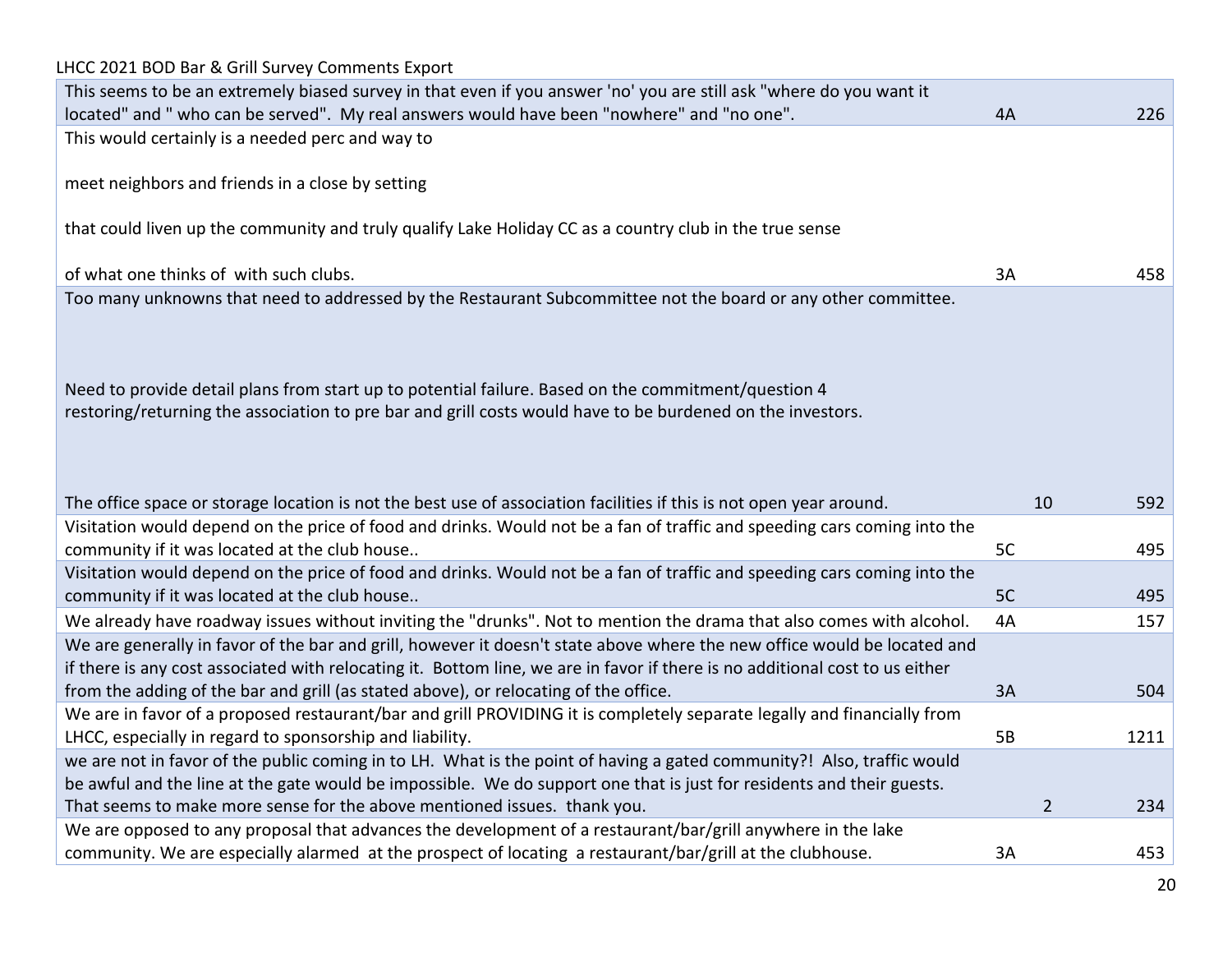| LHCC 2021 BOD Bar & Grill Survey Comments Export                                                                                                                                                                                                |           |                       |
|-------------------------------------------------------------------------------------------------------------------------------------------------------------------------------------------------------------------------------------------------|-----------|-----------------------|
| This seems to be an extremely biased survey in that even if you answer 'no' you are still ask "where do you want it                                                                                                                             |           |                       |
| located" and " who can be served". My real answers would have been "nowhere" and "no one".                                                                                                                                                      | 4A        | 226                   |
| This would certainly is a needed perc and way to                                                                                                                                                                                                |           |                       |
|                                                                                                                                                                                                                                                 |           |                       |
| meet neighbors and friends in a close by setting                                                                                                                                                                                                |           |                       |
|                                                                                                                                                                                                                                                 |           |                       |
| that could liven up the community and truly qualify Lake Holiday CC as a country club in the true sense                                                                                                                                         |           |                       |
|                                                                                                                                                                                                                                                 |           |                       |
| of what one thinks of with such clubs.                                                                                                                                                                                                          | 3A        | 458                   |
| Too many unknowns that need to addressed by the Restaurant Subcommittee not the board or any other committee.                                                                                                                                   |           |                       |
|                                                                                                                                                                                                                                                 |           |                       |
|                                                                                                                                                                                                                                                 |           |                       |
|                                                                                                                                                                                                                                                 |           |                       |
| Need to provide detail plans from start up to potential failure. Based on the commitment/question 4                                                                                                                                             |           |                       |
| restoring/returning the association to pre bar and grill costs would have to be burdened on the investors.                                                                                                                                      |           |                       |
|                                                                                                                                                                                                                                                 |           |                       |
|                                                                                                                                                                                                                                                 |           |                       |
|                                                                                                                                                                                                                                                 |           |                       |
|                                                                                                                                                                                                                                                 |           |                       |
| The office space or storage location is not the best use of association facilities if this is not open year around.                                                                                                                             |           | 592<br>10             |
| Visitation would depend on the price of food and drinks. Would not be a fan of traffic and speeding cars coming into the                                                                                                                        |           | 495                   |
| community if it was located at the club house                                                                                                                                                                                                   | 5C        |                       |
| Visitation would depend on the price of food and drinks. Would not be a fan of traffic and speeding cars coming into the                                                                                                                        | 5C        | 495                   |
| community if it was located at the club house                                                                                                                                                                                                   |           |                       |
| We already have roadway issues without inviting the "drunks". Not to mention the drama that also comes with alcohol.                                                                                                                            | 4A        | 157                   |
| We are generally in favor of the bar and grill, however it doesn't state above where the new office would be located and                                                                                                                        |           |                       |
| if there is any cost associated with relocating it. Bottom line, we are in favor if there is no additional cost to us either                                                                                                                    | 3A        | 504                   |
| from the adding of the bar and grill (as stated above), or relocating of the office.                                                                                                                                                            |           |                       |
| We are in favor of a proposed restaurant/bar and grill PROVIDING it is completely separate legally and financially from<br>LHCC, especially in regard to sponsorship and liability.                                                             | <b>5B</b> | 1211                  |
|                                                                                                                                                                                                                                                 |           |                       |
| we are not in favor of the public coming in to LH. What is the point of having a gated community?! Also, traffic would<br>be awful and the line at the gate would be impossible. We do support one that is just for residents and their guests. |           |                       |
| That seems to make more sense for the above mentioned issues. thank you.                                                                                                                                                                        |           | $\overline{2}$<br>234 |
| We are opposed to any proposal that advances the development of a restaurant/bar/grill anywhere in the lake                                                                                                                                     |           |                       |
| community. We are especially alarmed at the prospect of locating a restaurant/bar/grill at the clubhouse.                                                                                                                                       | 3A        | 453                   |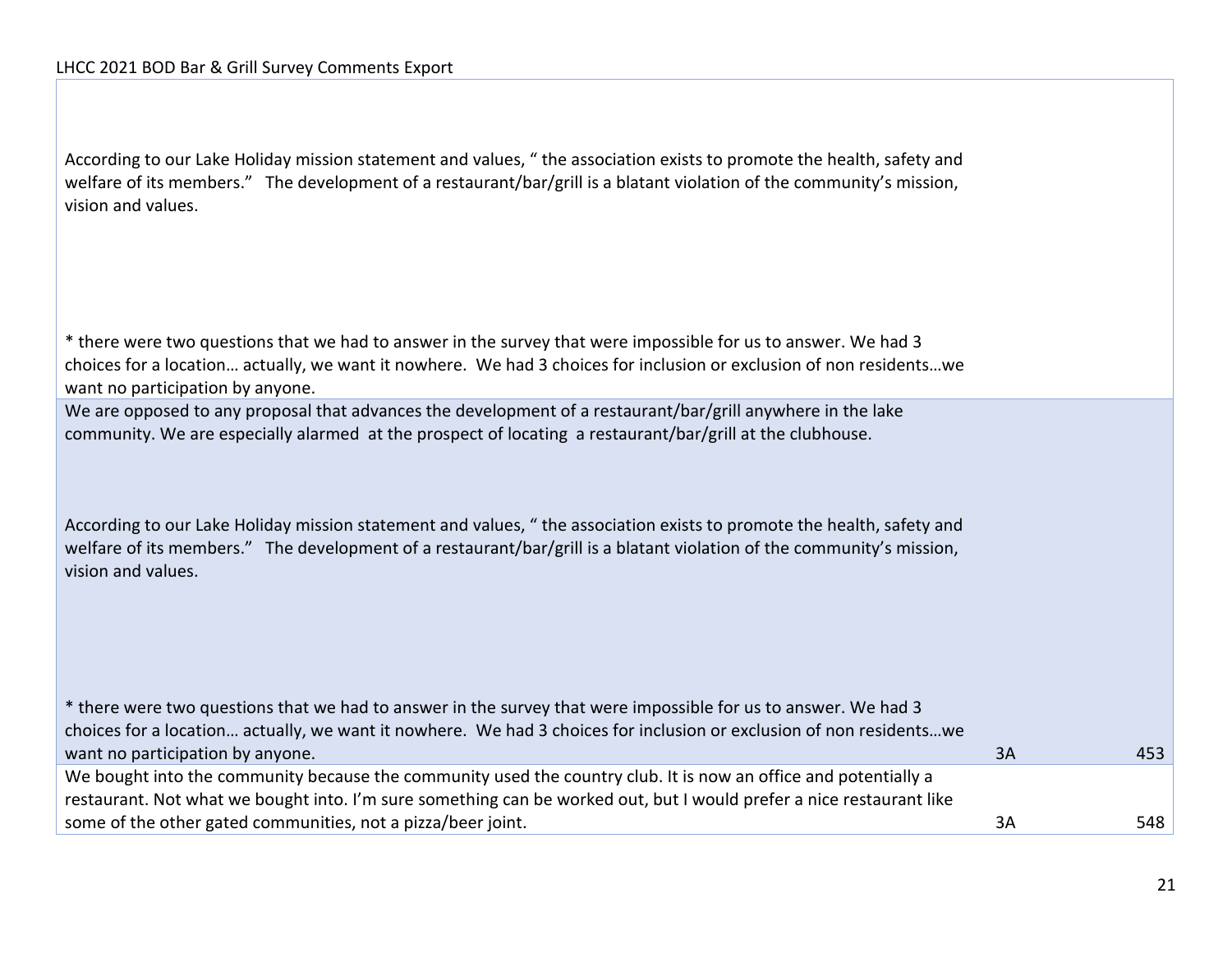According to our Lake Holiday mission statement and values, " the association exists to promote the health, safety and welfare of its members." The development of a restaurant/bar/grill is a blatant violation of the community's mission, vision and values.

\* there were two questions that we had to answer in the survey that were impossible for us to answer. We had 3 choices for a location… actually, we want it nowhere. We had 3 choices for inclusion or exclusion of non residents…we want no participation by anyone.

We are opposed to any proposal that advances the development of a restaurant/bar/grill anywhere in the lake community. We are especially alarmed at the prospect of locating a restaurant/bar/grill at the clubhouse.

According to our Lake Holiday mission statement and values, " the association exists to promote the health, safety and welfare of its members." The development of a restaurant/bar/grill is a blatant violation of the community's mission, vision and values.

\* there were two questions that we had to answer in the survey that were impossible for us to answer. We had 3 choices for a location… actually, we want it nowhere. We had 3 choices for inclusion or exclusion of non residents…we want no participation by anyone. 353 and 253 and 253 and 253 and 253 and 253 and 253 and 253 and 253 and 253 and 253 and 253 and 253 and 253 and 253 and 253 and 253 and 253 and 253 and 253 and 253 and 253 and 253 and 253 a We bought into the community because the community used the country club. It is now an office and potentially a restaurant. Not what we bought into. I'm sure something can be worked out, but I would prefer a nice restaurant like some of the other gated communities, not a pizza/beer joint. 3A 548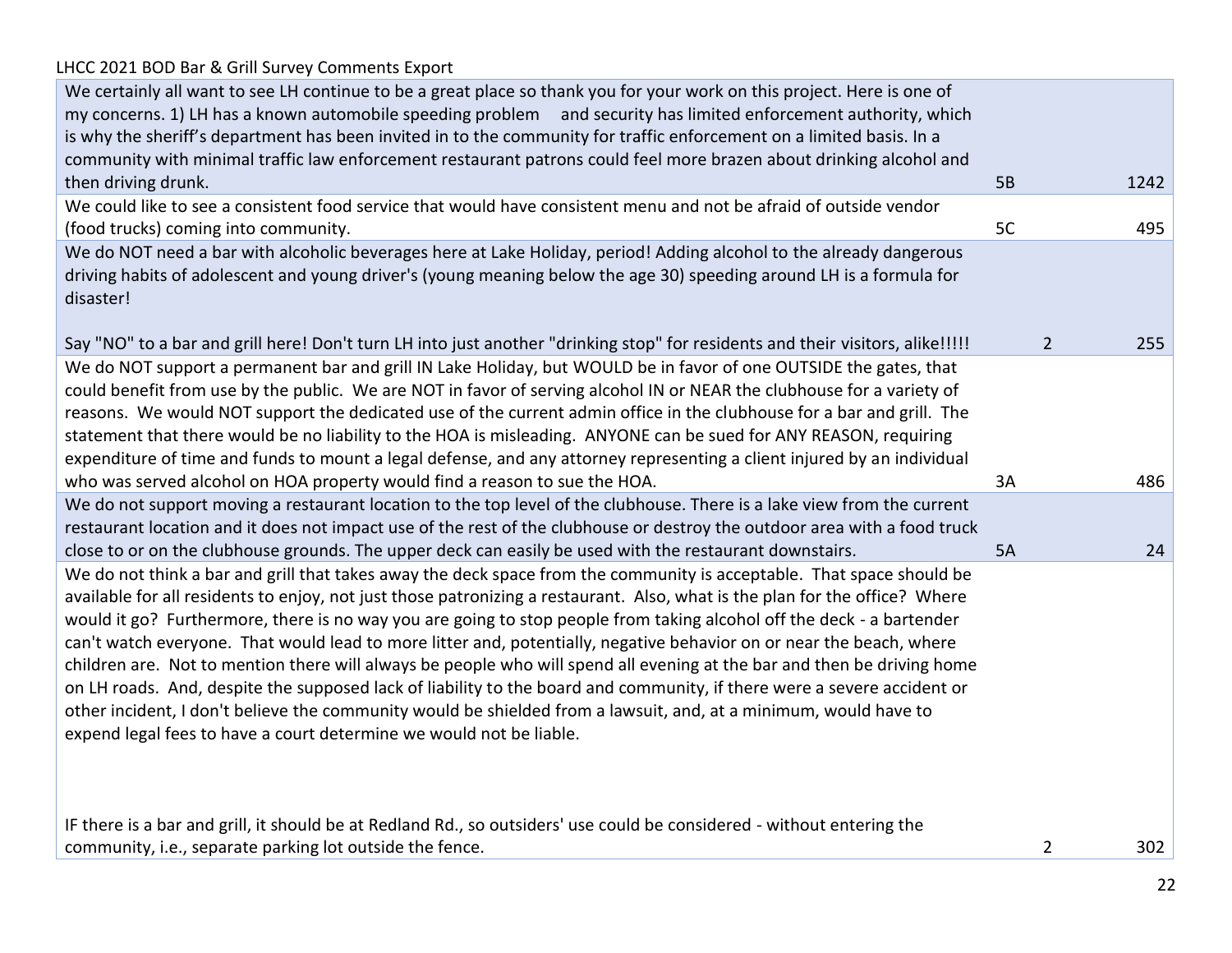| We certainly all want to see LH continue to be a great place so thank you for your work on this project. Here is one of<br>my concerns. 1) LH has a known automobile speeding problem and security has limited enforcement authority, which<br>is why the sheriff's department has been invited in to the community for traffic enforcement on a limited basis. In a<br>community with minimal traffic law enforcement restaurant patrons could feel more brazen about drinking alcohol and |           |                |      |
|---------------------------------------------------------------------------------------------------------------------------------------------------------------------------------------------------------------------------------------------------------------------------------------------------------------------------------------------------------------------------------------------------------------------------------------------------------------------------------------------|-----------|----------------|------|
| then driving drunk.                                                                                                                                                                                                                                                                                                                                                                                                                                                                         | <b>5B</b> |                | 1242 |
| We could like to see a consistent food service that would have consistent menu and not be afraid of outside vendor                                                                                                                                                                                                                                                                                                                                                                          |           |                |      |
| (food trucks) coming into community.                                                                                                                                                                                                                                                                                                                                                                                                                                                        | 5C        |                | 495  |
| We do NOT need a bar with alcoholic beverages here at Lake Holiday, period! Adding alcohol to the already dangerous                                                                                                                                                                                                                                                                                                                                                                         |           |                |      |
| driving habits of adolescent and young driver's (young meaning below the age 30) speeding around LH is a formula for<br>disaster!                                                                                                                                                                                                                                                                                                                                                           |           |                |      |
| Say "NO" to a bar and grill here! Don't turn LH into just another "drinking stop" for residents and their visitors, alike!!!!!                                                                                                                                                                                                                                                                                                                                                              |           | $\overline{2}$ | 255  |
| We do NOT support a permanent bar and grill IN Lake Holiday, but WOULD be in favor of one OUTSIDE the gates, that                                                                                                                                                                                                                                                                                                                                                                           |           |                |      |
| could benefit from use by the public. We are NOT in favor of serving alcohol IN or NEAR the clubhouse for a variety of                                                                                                                                                                                                                                                                                                                                                                      |           |                |      |
| reasons. We would NOT support the dedicated use of the current admin office in the clubhouse for a bar and grill. The                                                                                                                                                                                                                                                                                                                                                                       |           |                |      |
| statement that there would be no liability to the HOA is misleading. ANYONE can be sued for ANY REASON, requiring                                                                                                                                                                                                                                                                                                                                                                           |           |                |      |
| expenditure of time and funds to mount a legal defense, and any attorney representing a client injured by an individual                                                                                                                                                                                                                                                                                                                                                                     |           |                | 486  |
| who was served alcohol on HOA property would find a reason to sue the HOA.<br>We do not support moving a restaurant location to the top level of the clubhouse. There is a lake view from the current                                                                                                                                                                                                                                                                                       | 3A        |                |      |
| restaurant location and it does not impact use of the rest of the clubhouse or destroy the outdoor area with a food truck                                                                                                                                                                                                                                                                                                                                                                   |           |                |      |
| close to or on the clubhouse grounds. The upper deck can easily be used with the restaurant downstairs.                                                                                                                                                                                                                                                                                                                                                                                     | 5A        |                | 24   |
| We do not think a bar and grill that takes away the deck space from the community is acceptable. That space should be                                                                                                                                                                                                                                                                                                                                                                       |           |                |      |
| available for all residents to enjoy, not just those patronizing a restaurant. Also, what is the plan for the office? Where                                                                                                                                                                                                                                                                                                                                                                 |           |                |      |
| would it go? Furthermore, there is no way you are going to stop people from taking alcohol off the deck - a bartender                                                                                                                                                                                                                                                                                                                                                                       |           |                |      |
| can't watch everyone. That would lead to more litter and, potentially, negative behavior on or near the beach, where                                                                                                                                                                                                                                                                                                                                                                        |           |                |      |
| children are. Not to mention there will always be people who will spend all evening at the bar and then be driving home                                                                                                                                                                                                                                                                                                                                                                     |           |                |      |
| on LH roads. And, despite the supposed lack of liability to the board and community, if there were a severe accident or                                                                                                                                                                                                                                                                                                                                                                     |           |                |      |
| other incident, I don't believe the community would be shielded from a lawsuit, and, at a minimum, would have to                                                                                                                                                                                                                                                                                                                                                                            |           |                |      |
| expend legal fees to have a court determine we would not be liable.                                                                                                                                                                                                                                                                                                                                                                                                                         |           |                |      |
|                                                                                                                                                                                                                                                                                                                                                                                                                                                                                             |           |                |      |
| IF there is a bar and grill, it should be at Redland Rd., so outsiders' use could be considered - without entering the                                                                                                                                                                                                                                                                                                                                                                      |           |                |      |
| community, i.e., separate parking lot outside the fence.                                                                                                                                                                                                                                                                                                                                                                                                                                    |           | $\overline{2}$ | 302  |
|                                                                                                                                                                                                                                                                                                                                                                                                                                                                                             |           |                |      |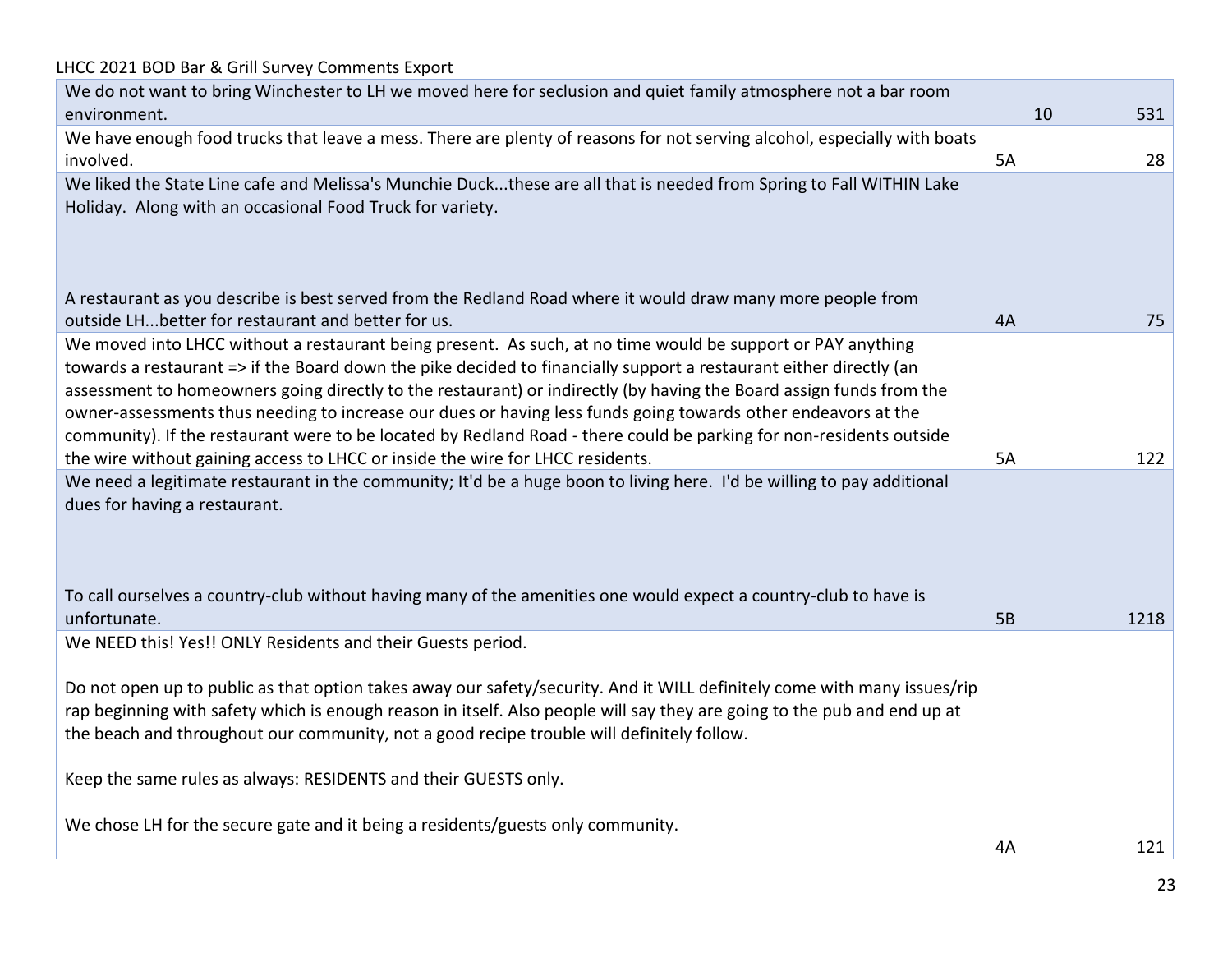LHCC 2021 BOD Bar & Grill Survey Comments Export We do not want to bring Winchester to LH we moved here for seclusion and quiet family atmosphere not a bar room environment. 10 531 We have enough food trucks that leave a mess. There are plenty of reasons for not serving alcohol, especially with boats involved. 5A 28 We liked the State Line cafe and Melissa's Munchie Duck...these are all that is needed from Spring to Fall WITHIN Lake Holiday. Along with an occasional Food Truck for variety. A restaurant as you describe is best served from the Redland Road where it would draw many more people from outside LH...better for restaurant and better for us. 4A 75 We moved into LHCC without a restaurant being present. As such, at no time would be support or PAY anything towards a restaurant => if the Board down the pike decided to financially support a restaurant either directly (an assessment to homeowners going directly to the restaurant) or indirectly (by having the Board assign funds from the owner-assessments thus needing to increase our dues or having less funds going towards other endeavors at the community). If the restaurant were to be located by Redland Road - there could be parking for non-residents outside the wire without gaining access to LHCC or inside the wire for LHCC residents. 5A 122 We need a legitimate restaurant in the community; It'd be a huge boon to living here. I'd be willing to pay additional dues for having a restaurant. To call ourselves a country-club without having many of the amenities one would expect a country-club to have is unfortunate. 5B 1218 We NEED this! Yes!! ONLY Residents and their Guests period. Do not open up to public as that option takes away our safety/security. And it WILL definitely come with many issues/rip rap beginning with safety which is enough reason in itself. Also people will say they are going to the pub and end up at the beach and throughout our community, not a good recipe trouble will definitely follow. Keep the same rules as always: RESIDENTS and their GUESTS only. We chose LH for the secure gate and it being a residents/guests only community. 4A 121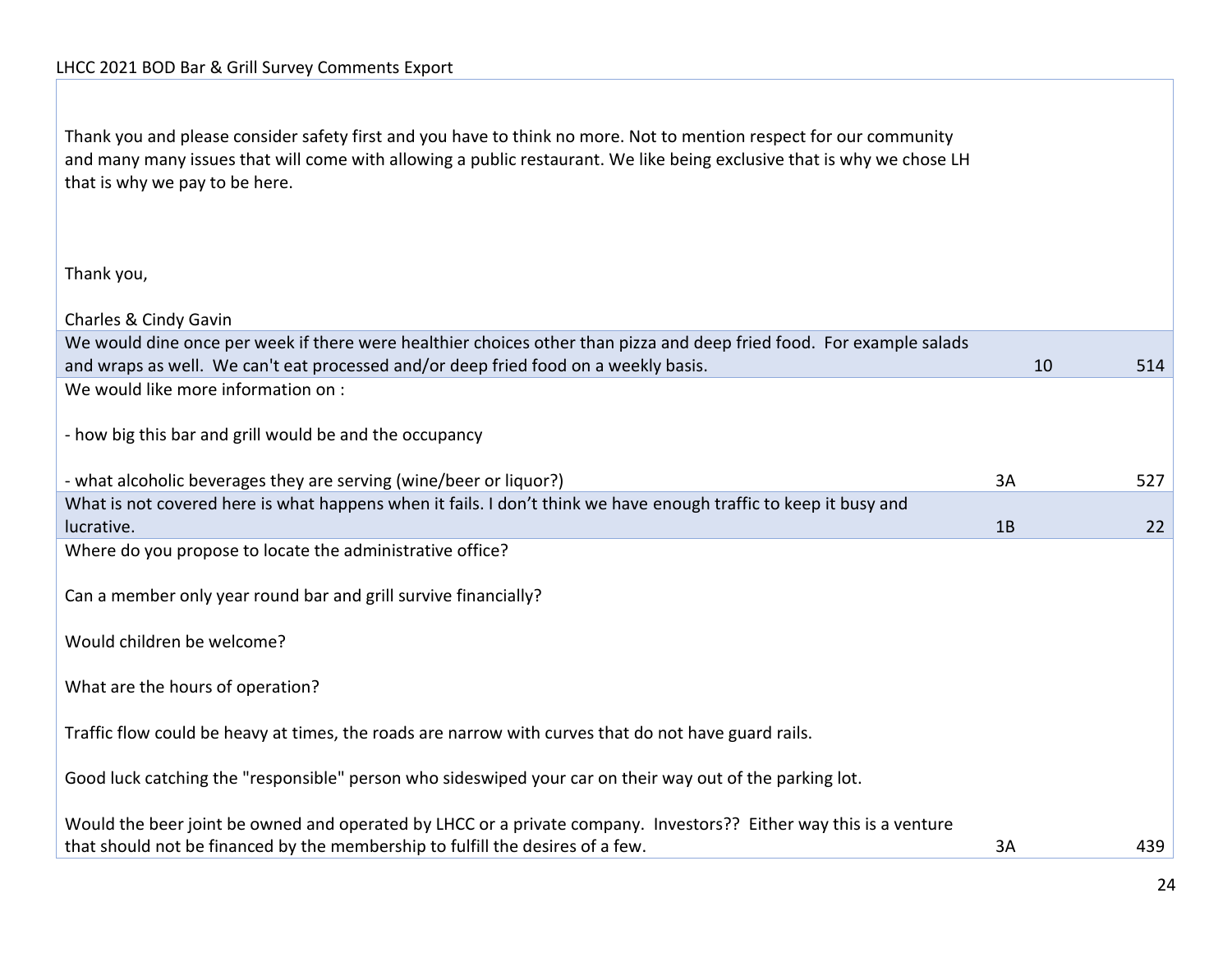| Thank you and please consider safety first and you have to think no more. Not to mention respect for our community<br>and many many issues that will come with allowing a public restaurant. We like being exclusive that is why we chose LH<br>that is why we pay to be here. |    |     |
|--------------------------------------------------------------------------------------------------------------------------------------------------------------------------------------------------------------------------------------------------------------------------------|----|-----|
| Thank you,                                                                                                                                                                                                                                                                     |    |     |
| Charles & Cindy Gavin                                                                                                                                                                                                                                                          |    |     |
| We would dine once per week if there were healthier choices other than pizza and deep fried food. For example salads                                                                                                                                                           |    |     |
| and wraps as well. We can't eat processed and/or deep fried food on a weekly basis.                                                                                                                                                                                            | 10 | 514 |
| We would like more information on :                                                                                                                                                                                                                                            |    |     |
| - how big this bar and grill would be and the occupancy                                                                                                                                                                                                                        |    |     |
| - what alcoholic beverages they are serving (wine/beer or liquor?)                                                                                                                                                                                                             | 3A | 527 |
| What is not covered here is what happens when it fails. I don't think we have enough traffic to keep it busy and<br>lucrative.                                                                                                                                                 | 1B | 22  |
| Where do you propose to locate the administrative office?                                                                                                                                                                                                                      |    |     |
| Can a member only year round bar and grill survive financially?                                                                                                                                                                                                                |    |     |
| Would children be welcome?                                                                                                                                                                                                                                                     |    |     |
| What are the hours of operation?                                                                                                                                                                                                                                               |    |     |
| Traffic flow could be heavy at times, the roads are narrow with curves that do not have guard rails.                                                                                                                                                                           |    |     |
| Good luck catching the "responsible" person who sideswiped your car on their way out of the parking lot.                                                                                                                                                                       |    |     |
| Would the beer joint be owned and operated by LHCC or a private company. Investors?? Either way this is a venture<br>that should not be financed by the membership to fulfill the desires of a few.                                                                            | 3A | 439 |
|                                                                                                                                                                                                                                                                                |    |     |